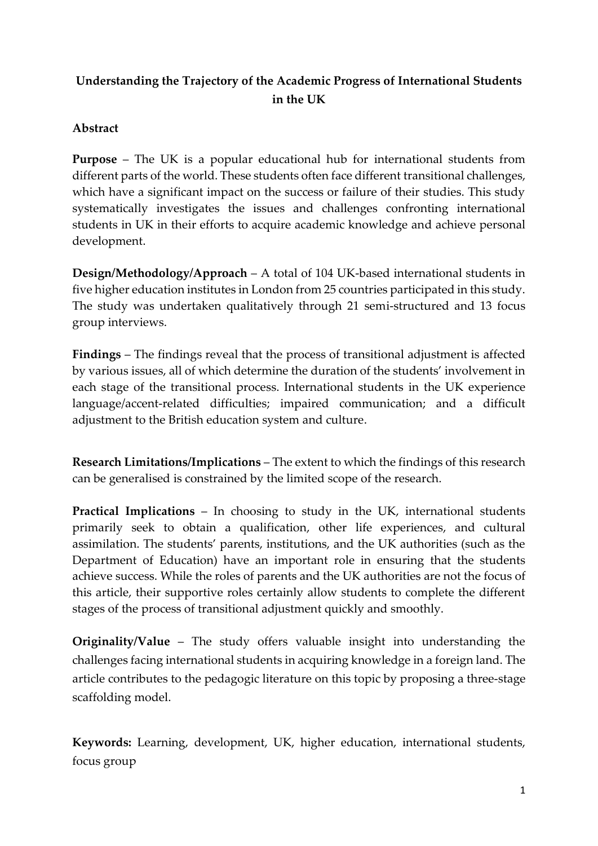# **Understanding the Trajectory of the Academic Progress of International Students in the UK**

## **Abstract**

**Purpose** – The UK is a popular educational hub for international students from different parts of the world. These students often face different transitional challenges, which have a significant impact on the success or failure of their studies. This study systematically investigates the issues and challenges confronting international students in UK in their efforts to acquire academic knowledge and achieve personal development.

**Design/Methodology/Approach** – A total of 104 UK-based international students in five higher education institutes in London from 25 countries participated in this study. The study was undertaken qualitatively through 21 semi-structured and 13 focus group interviews.

**Findings** – The findings reveal that the process of transitional adjustment is affected by various issues, all of which determine the duration of the students' involvement in each stage of the transitional process. International students in the UK experience language/accent-related difficulties; impaired communication; and a difficult adjustment to the British education system and culture.

**Research Limitations/Implications** – The extent to which the findings of this research can be generalised is constrained by the limited scope of the research.

**Practical Implications** – In choosing to study in the UK, international students primarily seek to obtain a qualification, other life experiences, and cultural assimilation. The students' parents, institutions, and the UK authorities (such as the Department of Education) have an important role in ensuring that the students achieve success. While the roles of parents and the UK authorities are not the focus of this article, their supportive roles certainly allow students to complete the different stages of the process of transitional adjustment quickly and smoothly.

**Originality/Value** – The study offers valuable insight into understanding the challenges facing international students in acquiring knowledge in a foreign land. The article contributes to the pedagogic literature on this topic by proposing a three-stage scaffolding model.

**Keywords:** Learning, development, UK, higher education, international students, focus group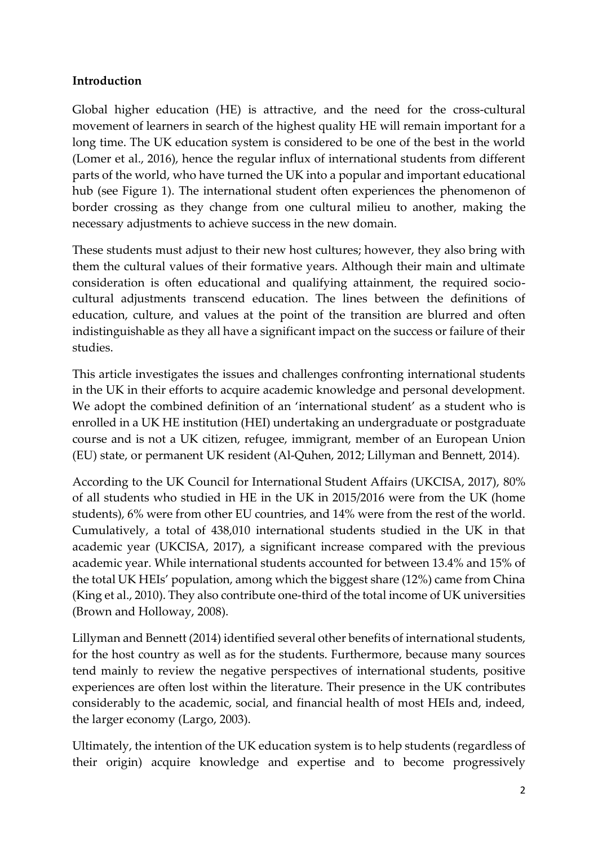## **Introduction**

Global higher education (HE) is attractive, and the need for the cross-cultural movement of learners in search of the highest quality HE will remain important for a long time. The UK education system is considered to be one of the best in the world (Lomer et al., 2016), hence the regular influx of international students from different parts of the world, who have turned the UK into a popular and important educational hub (see Figure 1). The international student often experiences the phenomenon of border crossing as they change from one cultural milieu to another, making the necessary adjustments to achieve success in the new domain.

These students must adjust to their new host cultures; however, they also bring with them the cultural values of their formative years. Although their main and ultimate consideration is often educational and qualifying attainment, the required sociocultural adjustments transcend education. The lines between the definitions of education, culture, and values at the point of the transition are blurred and often indistinguishable as they all have a significant impact on the success or failure of their studies.

This article investigates the issues and challenges confronting international students in the UK in their efforts to acquire academic knowledge and personal development. We adopt the combined definition of an 'international student' as a student who is enrolled in a UK HE institution (HEI) undertaking an undergraduate or postgraduate course and is not a UK citizen, refugee, immigrant, member of an European Union (EU) state, or permanent UK resident (Al-Quhen, 2012; Lillyman and Bennett, 2014).

According to the UK Council for International Student Affairs (UKCISA, 2017), 80% of all students who studied in HE in the UK in 2015/2016 were from the UK (home students), 6% were from other EU countries, and 14% were from the rest of the world. Cumulatively, a total of 438,010 international students studied in the UK in that academic year (UKCISA, 2017), a significant increase compared with the previous academic year. While international students accounted for between 13.4% and 15% of the total UK HEIs' population, among which the biggest share (12%) came from China (King et al., 2010). They also contribute one-third of the total income of UK universities (Brown and Holloway, 2008).

Lillyman and Bennett (2014) identified several other benefits of international students, for the host country as well as for the students. Furthermore, because many sources tend mainly to review the negative perspectives of international students, positive experiences are often lost within the literature. Their presence in the UK contributes considerably to the academic, social, and financial health of most HEIs and, indeed, the larger economy (Largo, 2003).

Ultimately, the intention of the UK education system is to help students (regardless of their origin) acquire knowledge and expertise and to become progressively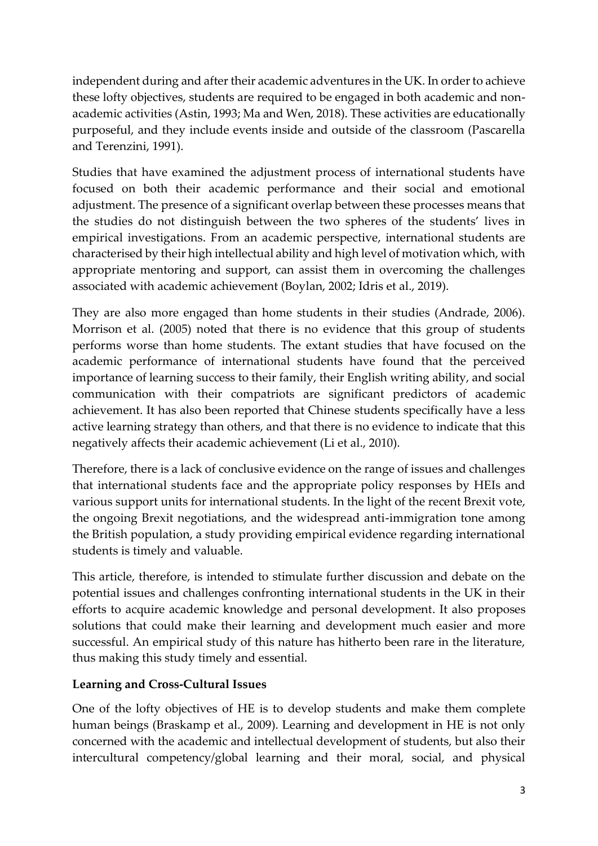independent during and after their academic adventures in the UK. In order to achieve these lofty objectives, students are required to be engaged in both academic and nonacademic activities (Astin, 1993; Ma and Wen, 2018). These activities are educationally purposeful, and they include events inside and outside of the classroom (Pascarella and Terenzini, 1991).

Studies that have examined the adjustment process of international students have focused on both their academic performance and their social and emotional adjustment. The presence of a significant overlap between these processes means that the studies do not distinguish between the two spheres of the students' lives in empirical investigations. From an academic perspective, international students are characterised by their high intellectual ability and high level of motivation which, with appropriate mentoring and support, can assist them in overcoming the challenges associated with academic achievement (Boylan, 2002; Idris et al., 2019).

They are also more engaged than home students in their studies (Andrade, 2006). Morrison et al. (2005) noted that there is no evidence that this group of students performs worse than home students. The extant studies that have focused on the academic performance of international students have found that the perceived importance of learning success to their family, their English writing ability, and social communication with their compatriots are significant predictors of academic achievement. It has also been reported that Chinese students specifically have a less active learning strategy than others, and that there is no evidence to indicate that this negatively affects their academic achievement (Li et al., 2010).

Therefore, there is a lack of conclusive evidence on the range of issues and challenges that international students face and the appropriate policy responses by HEIs and various support units for international students. In the light of the recent Brexit vote, the ongoing Brexit negotiations, and the widespread anti-immigration tone among the British population, a study providing empirical evidence regarding international students is timely and valuable.

This article, therefore, is intended to stimulate further discussion and debate on the potential issues and challenges confronting international students in the UK in their efforts to acquire academic knowledge and personal development. It also proposes solutions that could make their learning and development much easier and more successful. An empirical study of this nature has hitherto been rare in the literature, thus making this study timely and essential.

## **Learning and Cross-Cultural Issues**

One of the lofty objectives of HE is to develop students and make them complete human beings (Braskamp et al., 2009). Learning and development in HE is not only concerned with the academic and intellectual development of students, but also their intercultural competency/global learning and their moral, social, and physical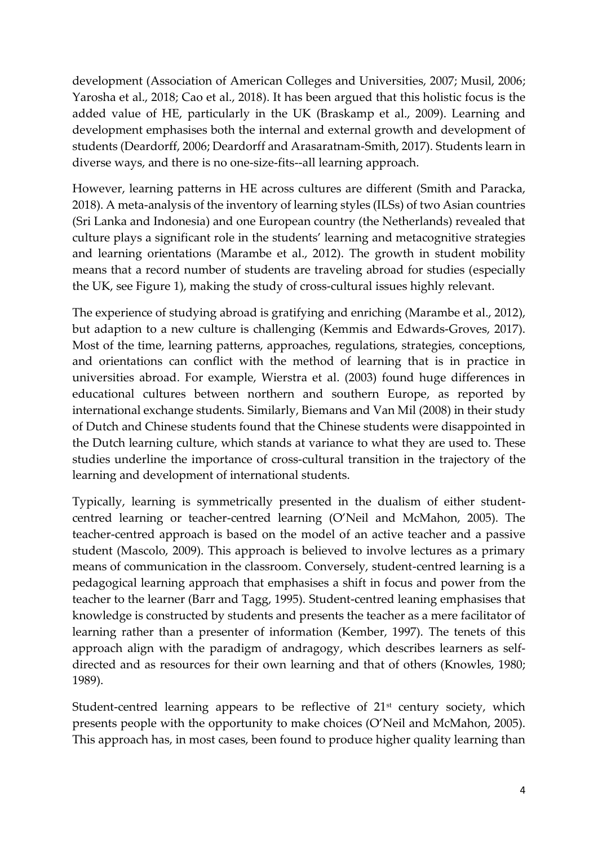development (Association of American Colleges and Universities, 2007; Musil, 2006; Yarosha et al., 2018; Cao et al., 2018). It has been argued that this holistic focus is the added value of HE, particularly in the UK (Braskamp et al., 2009). Learning and development emphasises both the internal and external growth and development of students (Deardorff, 2006; Deardorff and Arasaratnam-Smith, 2017). Students learn in diverse ways, and there is no one-size-fits--all learning approach.

However, learning patterns in HE across cultures are different (Smith and Paracka, 2018). A meta-analysis of the inventory of learning styles (ILSs) of two Asian countries (Sri Lanka and Indonesia) and one European country (the Netherlands) revealed that culture plays a significant role in the students' learning and metacognitive strategies and learning orientations (Marambe et al., 2012). The growth in student mobility means that a record number of students are traveling abroad for studies (especially the UK, see Figure 1), making the study of cross-cultural issues highly relevant.

The experience of studying abroad is gratifying and enriching (Marambe et al., 2012), but adaption to a new culture is challenging (Kemmis and Edwards-Groves, 2017). Most of the time, learning patterns, approaches, regulations, strategies, conceptions, and orientations can conflict with the method of learning that is in practice in universities abroad. For example, Wierstra et al. (2003) found huge differences in educational cultures between northern and southern Europe, as reported by international exchange students. Similarly, Biemans and Van Mil (2008) in their study of Dutch and Chinese students found that the Chinese students were disappointed in the Dutch learning culture, which stands at variance to what they are used to. These studies underline the importance of cross-cultural transition in the trajectory of the learning and development of international students.

Typically, learning is symmetrically presented in the dualism of either studentcentred learning or teacher-centred learning (O'Neil and McMahon, 2005). The teacher-centred approach is based on the model of an active teacher and a passive student (Mascolo, 2009). This approach is believed to involve lectures as a primary means of communication in the classroom. Conversely, student-centred learning is a pedagogical learning approach that emphasises a shift in focus and power from the teacher to the learner (Barr and Tagg, 1995). Student-centred leaning emphasises that knowledge is constructed by students and presents the teacher as a mere facilitator of learning rather than a presenter of information (Kember, 1997). The tenets of this approach align with the paradigm of andragogy, which describes learners as selfdirected and as resources for their own learning and that of others (Knowles, 1980; 1989).

Student-centred learning appears to be reflective of  $21<sup>st</sup>$  century society, which presents people with the opportunity to make choices (O'Neil and McMahon, 2005). This approach has, in most cases, been found to produce higher quality learning than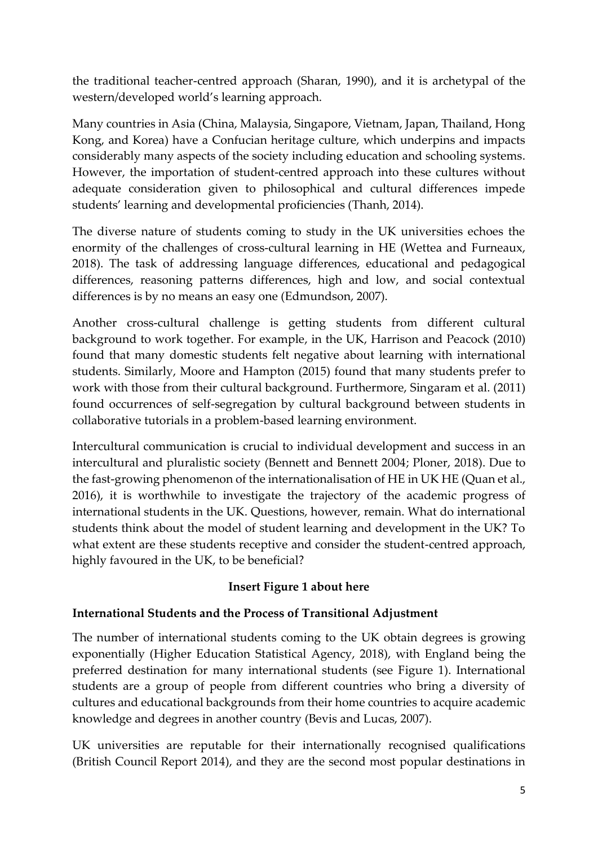the traditional teacher-centred approach (Sharan, 1990), and it is archetypal of the western/developed world's learning approach.

Many countries in Asia (China, Malaysia, Singapore, Vietnam, Japan, Thailand, Hong Kong, and Korea) have a Confucian heritage culture, which underpins and impacts considerably many aspects of the society including education and schooling systems. However, the importation of student-centred approach into these cultures without adequate consideration given to philosophical and cultural differences impede students' learning and developmental proficiencies (Thanh, 2014).

The diverse nature of students coming to study in the UK universities echoes the enormity of the challenges of cross-cultural learning in HE (Wettea and Furneaux, 2018). The task of addressing language differences, educational and pedagogical differences, reasoning patterns differences, high and low, and social contextual differences is by no means an easy one (Edmundson, 2007).

Another cross-cultural challenge is getting students from different cultural background to work together. For example, in the UK, Harrison and Peacock (2010) found that many domestic students felt negative about learning with international students. Similarly, Moore and Hampton (2015) found that many students prefer to work with those from their cultural background. Furthermore, Singaram et al. (2011) found occurrences of self-segregation by cultural background between students in collaborative tutorials in a problem-based learning environment.

Intercultural communication is crucial to individual development and success in an intercultural and pluralistic society (Bennett and Bennett 2004; Ploner, 2018). Due to the fast-growing phenomenon of the internationalisation of HE in UK HE (Quan et al., 2016), it is worthwhile to investigate the trajectory of the academic progress of international students in the UK. Questions, however, remain. What do international students think about the model of student learning and development in the UK? To what extent are these students receptive and consider the student-centred approach, highly favoured in the UK, to be beneficial?

## **Insert Figure 1 about here**

## **International Students and the Process of Transitional Adjustment**

The number of international students coming to the UK obtain degrees is growing exponentially (Higher Education Statistical Agency, 2018), with England being the preferred destination for many international students (see Figure 1). International students are a group of people from different countries who bring a diversity of cultures and educational backgrounds from their home countries to acquire academic knowledge and degrees in another country (Bevis and Lucas, 2007).

UK universities are reputable for their internationally recognised qualifications (British Council Report 2014), and they are the second most popular destinations in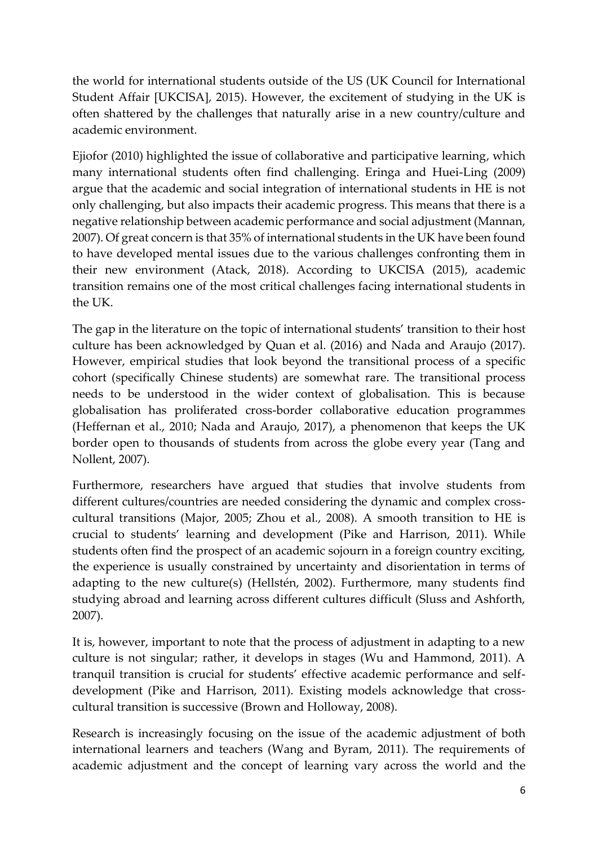the world for international students outside of the US (UK Council for International Student Affair [UKCISA], 2015). However, the excitement of studying in the UK is often shattered by the challenges that naturally arise in a new country/culture and academic environment.

Ejiofor (2010) highlighted the issue of collaborative and participative learning, which many international students often find challenging. Eringa and Huei-Ling (2009) argue that the academic and social integration of international students in HE is not only challenging, but also impacts their academic progress. This means that there is a negative relationship between academic performance and social adjustment (Mannan, 2007). Of great concern is that 35% of international students in the UK have been found to have developed mental issues due to the various challenges confronting them in their new environment (Atack, 2018). According to UKCISA (2015), academic transition remains one of the most critical challenges facing international students in the UK.

The gap in the literature on the topic of international students' transition to their host culture has been acknowledged by Quan et al. (2016) and Nada and Araujo (2017). However, empirical studies that look beyond the transitional process of a specific cohort (specifically Chinese students) are somewhat rare. The transitional process needs to be understood in the wider context of globalisation. This is because globalisation has proliferated cross-border collaborative education programmes (Heffernan et al., 2010; Nada and Araujo, 2017), a phenomenon that keeps the UK border open to thousands of students from across the globe every year (Tang and Nollent, 2007).

Furthermore, researchers have argued that studies that involve students from different cultures/countries are needed considering the dynamic and complex crosscultural transitions (Major, 2005; Zhou et al., 2008). A smooth transition to HE is crucial to students' learning and development (Pike and Harrison, 2011). While students often find the prospect of an academic sojourn in a foreign country exciting, the experience is usually constrained by uncertainty and disorientation in terms of adapting to the new culture(s) (Hellstén, 2002). Furthermore, many students find studying abroad and learning across different cultures difficult (Sluss and Ashforth, 2007).

It is, however, important to note that the process of adjustment in adapting to a new culture is not singular; rather, it develops in stages (Wu and Hammond, 2011). A tranquil transition is crucial for students' effective academic performance and selfdevelopment (Pike and Harrison, 2011). Existing models acknowledge that crosscultural transition is successive (Brown and Holloway, 2008).

Research is increasingly focusing on the issue of the academic adjustment of both international learners and teachers (Wang and Byram, 2011). The requirements of academic adjustment and the concept of learning vary across the world and the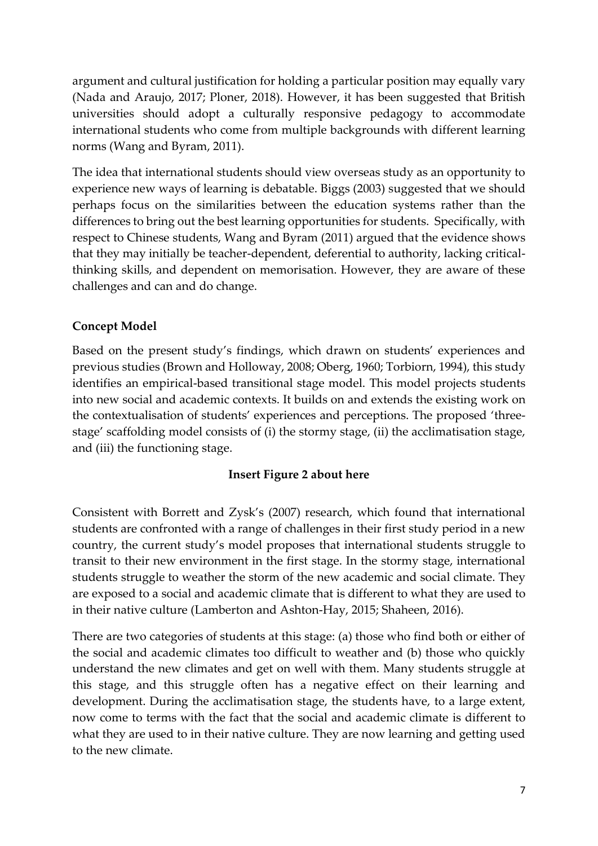argument and cultural justification for holding a particular position may equally vary (Nada and Araujo, 2017; Ploner, 2018). However, it has been suggested that British universities should adopt a culturally responsive pedagogy to accommodate international students who come from multiple backgrounds with different learning norms (Wang and Byram, 2011).

The idea that international students should view overseas study as an opportunity to experience new ways of learning is debatable. Biggs (2003) suggested that we should perhaps focus on the similarities between the education systems rather than the differences to bring out the best learning opportunities for students. Specifically, with respect to Chinese students, Wang and Byram (2011) argued that the evidence shows that they may initially be teacher-dependent, deferential to authority, lacking criticalthinking skills, and dependent on memorisation. However, they are aware of these challenges and can and do change.

## **Concept Model**

Based on the present study's findings, which drawn on students' experiences and previous studies (Brown and Holloway, 2008; Oberg, 1960; Torbiorn, 1994), this study identifies an empirical-based transitional stage model. This model projects students into new social and academic contexts. It builds on and extends the existing work on the contextualisation of students' experiences and perceptions. The proposed 'threestage' scaffolding model consists of (i) the stormy stage, (ii) the acclimatisation stage, and (iii) the functioning stage.

## **Insert Figure 2 about here**

Consistent with Borrett and Zysk's (2007) research, which found that international students are confronted with a range of challenges in their first study period in a new country, the current study's model proposes that international students struggle to transit to their new environment in the first stage. In the stormy stage, international students struggle to weather the storm of the new academic and social climate. They are exposed to a social and academic climate that is different to what they are used to in their native culture (Lamberton and Ashton-Hay, 2015; Shaheen, 2016).

There are two categories of students at this stage: (a) those who find both or either of the social and academic climates too difficult to weather and (b) those who quickly understand the new climates and get on well with them. Many students struggle at this stage, and this struggle often has a negative effect on their learning and development. During the acclimatisation stage, the students have, to a large extent, now come to terms with the fact that the social and academic climate is different to what they are used to in their native culture. They are now learning and getting used to the new climate.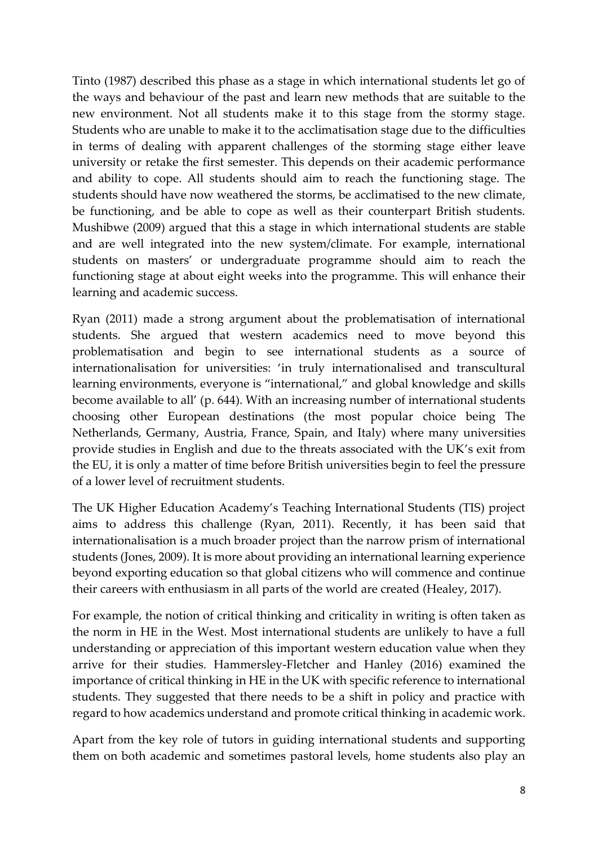Tinto (1987) described this phase as a stage in which international students let go of the ways and behaviour of the past and learn new methods that are suitable to the new environment. Not all students make it to this stage from the stormy stage. Students who are unable to make it to the acclimatisation stage due to the difficulties in terms of dealing with apparent challenges of the storming stage either leave university or retake the first semester. This depends on their academic performance and ability to cope. All students should aim to reach the functioning stage. The students should have now weathered the storms, be acclimatised to the new climate, be functioning, and be able to cope as well as their counterpart British students. Mushibwe (2009) argued that this a stage in which international students are stable and are well integrated into the new system/climate. For example, international students on masters' or undergraduate programme should aim to reach the functioning stage at about eight weeks into the programme. This will enhance their learning and academic success.

Ryan (2011) made a strong argument about the problematisation of international students. She argued that western academics need to move beyond this problematisation and begin to see international students as a source of internationalisation for universities: 'in truly internationalised and transcultural learning environments, everyone is "international," and global knowledge and skills become available to all' (p. 644). With an increasing number of international students choosing other European destinations (the most popular choice being The Netherlands, Germany, Austria, France, Spain, and Italy) where many universities provide studies in English and due to the threats associated with the UK's exit from the EU, it is only a matter of time before British universities begin to feel the pressure of a lower level of recruitment students.

The UK Higher Education Academy's Teaching International Students (TIS) project aims to address this challenge (Ryan, 2011). Recently, it has been said that internationalisation is a much broader project than the narrow prism of international students (Jones, 2009). It is more about providing an international learning experience beyond exporting education so that global citizens who will commence and continue their careers with enthusiasm in all parts of the world are created (Healey, 2017).

For example, the notion of critical thinking and criticality in writing is often taken as the norm in HE in the West. Most international students are unlikely to have a full understanding or appreciation of this important western education value when they arrive for their studies. Hammersley-Fletcher and Hanley (2016) examined the importance of critical thinking in HE in the UK with specific reference to international students. They suggested that there needs to be a shift in policy and practice with regard to how academics understand and promote critical thinking in academic work.

Apart from the key role of tutors in guiding international students and supporting them on both academic and sometimes pastoral levels, home students also play an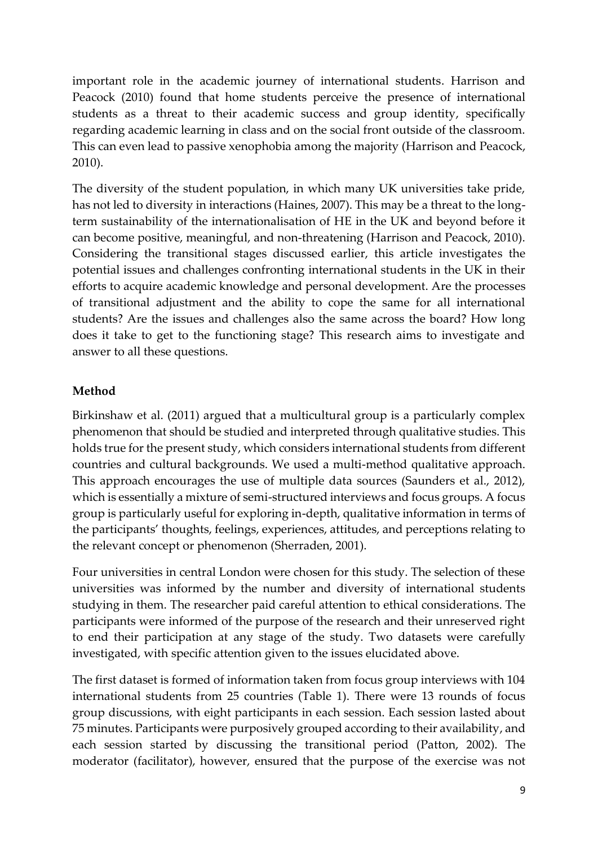important role in the academic journey of international students. Harrison and Peacock (2010) found that home students perceive the presence of international students as a threat to their academic success and group identity, specifically regarding academic learning in class and on the social front outside of the classroom. This can even lead to passive xenophobia among the majority (Harrison and Peacock, 2010).

The diversity of the student population, in which many UK universities take pride, has not led to diversity in interactions (Haines, 2007). This may be a threat to the longterm sustainability of the internationalisation of HE in the UK and beyond before it can become positive, meaningful, and non-threatening (Harrison and Peacock, 2010). Considering the transitional stages discussed earlier, this article investigates the potential issues and challenges confronting international students in the UK in their efforts to acquire academic knowledge and personal development. Are the processes of transitional adjustment and the ability to cope the same for all international students? Are the issues and challenges also the same across the board? How long does it take to get to the functioning stage? This research aims to investigate and answer to all these questions.

#### **Method**

Birkinshaw et al. (2011) argued that a multicultural group is a particularly complex phenomenon that should be studied and interpreted through qualitative studies. This holds true for the present study, which considers international students from different countries and cultural backgrounds. We used a multi-method qualitative approach. This approach encourages the use of multiple data sources (Saunders et al., 2012), which is essentially a mixture of semi-structured interviews and focus groups. A focus group is particularly useful for exploring in-depth, qualitative information in terms of the participants' thoughts, feelings, experiences, attitudes, and perceptions relating to the relevant concept or phenomenon (Sherraden, 2001).

Four universities in central London were chosen for this study. The selection of these universities was informed by the number and diversity of international students studying in them. The researcher paid careful attention to ethical considerations. The participants were informed of the purpose of the research and their unreserved right to end their participation at any stage of the study. Two datasets were carefully investigated, with specific attention given to the issues elucidated above.

The first dataset is formed of information taken from focus group interviews with 104 international students from 25 countries (Table 1). There were 13 rounds of focus group discussions, with eight participants in each session. Each session lasted about 75 minutes. Participants were purposively grouped according to their availability, and each session started by discussing the transitional period (Patton, 2002). The moderator (facilitator), however, ensured that the purpose of the exercise was not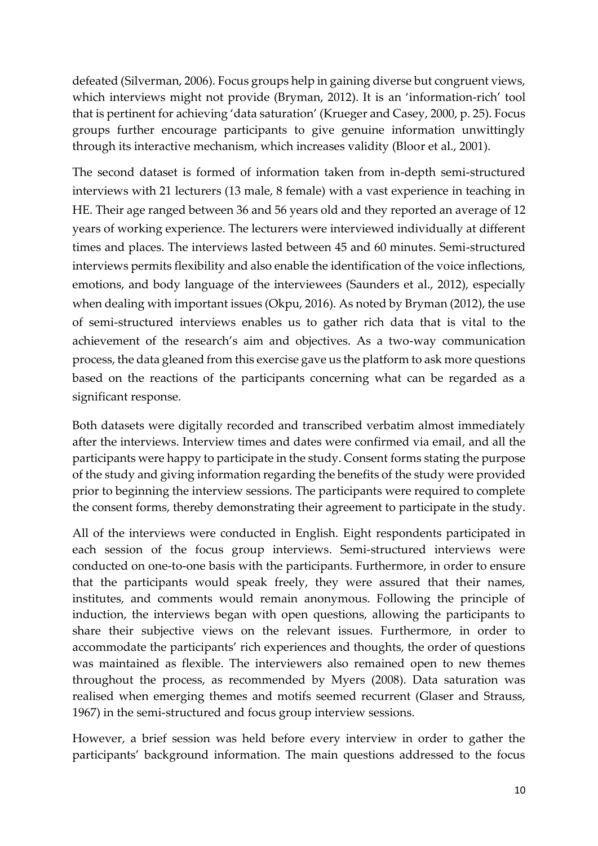defeated (Silverman, 2006). Focus groups help in gaining diverse but congruent views, which interviews might not provide (Bryman, 2012). It is an 'information-rich' tool that is pertinent for achieving 'data saturation' (Krueger and Casey, 2000, p. 25). Focus groups further encourage participants to give genuine information unwittingly through its interactive mechanism, which increases validity (Bloor et al., 2001).

The second dataset is formed of information taken from in-depth semi-structured interviews with 21 lecturers (13 male, 8 female) with a vast experience in teaching in HE. Their age ranged between 36 and 56 years old and they reported an average of 12 years of working experience. The lecturers were interviewed individually at different times and places. The interviews lasted between 45 and 60 minutes. Semi-structured interviews permits flexibility and also enable the identification of the voice inflections, emotions, and body language of the interviewees (Saunders et al., 2012), especially when dealing with important issues (Okpu, 2016). As noted by Bryman (2012), the use of semi-structured interviews enables us to gather rich data that is vital to the achievement of the research's aim and objectives. As a two-way communication process, the data gleaned from this exercise gave us the platform to ask more questions based on the reactions of the participants concerning what can be regarded as a significant response.

Both datasets were digitally recorded and transcribed verbatim almost immediately after the interviews. Interview times and dates were confirmed via email, and all the participants were happy to participate in the study. Consent forms stating the purpose of the study and giving information regarding the benefits of the study were provided prior to beginning the interview sessions. The participants were required to complete the consent forms, thereby demonstrating their agreement to participate in the study.

All of the interviews were conducted in English. Eight respondents participated in each session of the focus group interviews. Semi-structured interviews were conducted on one-to-one basis with the participants. Furthermore, in order to ensure that the participants would speak freely, they were assured that their names, institutes, and comments would remain anonymous. Following the principle of induction, the interviews began with open questions, allowing the participants to share their subjective views on the relevant issues. Furthermore, in order to accommodate the participants' rich experiences and thoughts, the order of questions was maintained as flexible. The interviewers also remained open to new themes throughout the process, as recommended by Myers (2008). Data saturation was realised when emerging themes and motifs seemed recurrent (Glaser and Strauss, 1967) in the semi-structured and focus group interview sessions.

However, a brief session was held before every interview in order to gather the participants' background information. The main questions addressed to the focus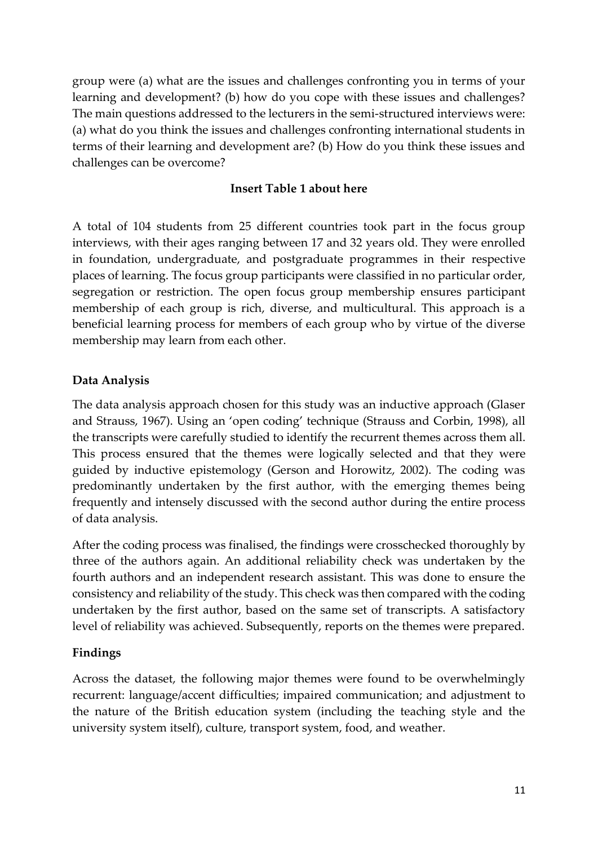group were (a) what are the issues and challenges confronting you in terms of your learning and development? (b) how do you cope with these issues and challenges? The main questions addressed to the lecturers in the semi-structured interviews were: (a) what do you think the issues and challenges confronting international students in terms of their learning and development are? (b) How do you think these issues and challenges can be overcome?

#### **Insert Table 1 about here**

A total of 104 students from 25 different countries took part in the focus group interviews, with their ages ranging between 17 and 32 years old. They were enrolled in foundation, undergraduate, and postgraduate programmes in their respective places of learning. The focus group participants were classified in no particular order, segregation or restriction. The open focus group membership ensures participant membership of each group is rich, diverse, and multicultural. This approach is a beneficial learning process for members of each group who by virtue of the diverse membership may learn from each other.

## **Data Analysis**

The data analysis approach chosen for this study was an inductive approach (Glaser and Strauss, 1967). Using an 'open coding' technique (Strauss and Corbin, 1998), all the transcripts were carefully studied to identify the recurrent themes across them all. This process ensured that the themes were logically selected and that they were guided by inductive epistemology (Gerson and Horowitz, 2002). The coding was predominantly undertaken by the first author, with the emerging themes being frequently and intensely discussed with the second author during the entire process of data analysis.

After the coding process was finalised, the findings were crosschecked thoroughly by three of the authors again. An additional reliability check was undertaken by the fourth authors and an independent research assistant. This was done to ensure the consistency and reliability of the study. This check was then compared with the coding undertaken by the first author, based on the same set of transcripts. A satisfactory level of reliability was achieved. Subsequently, reports on the themes were prepared.

## **Findings**

Across the dataset, the following major themes were found to be overwhelmingly recurrent: language/accent difficulties; impaired communication; and adjustment to the nature of the British education system (including the teaching style and the university system itself), culture, transport system, food, and weather.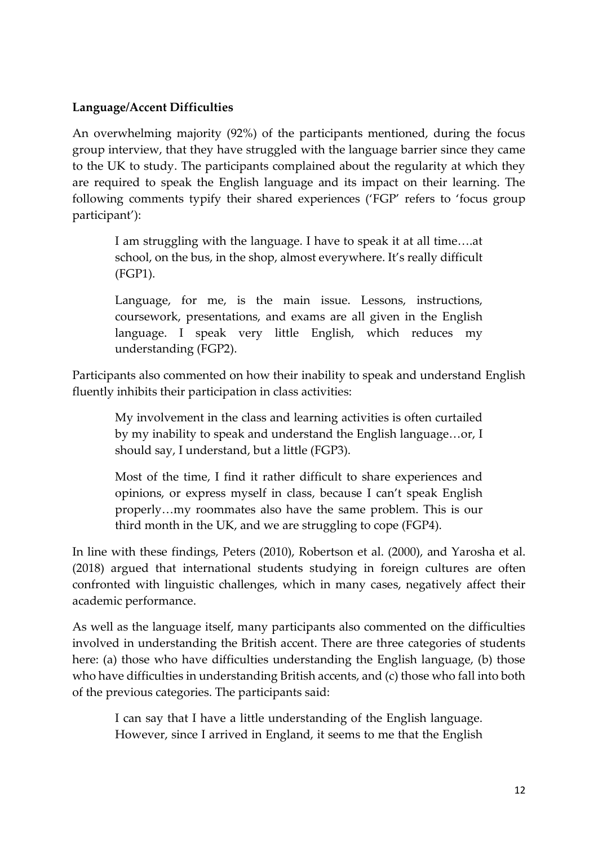#### **Language/Accent Difficulties**

An overwhelming majority (92%) of the participants mentioned, during the focus group interview, that they have struggled with the language barrier since they came to the UK to study. The participants complained about the regularity at which they are required to speak the English language and its impact on their learning. The following comments typify their shared experiences ('FGP' refers to 'focus group participant'):

I am struggling with the language. I have to speak it at all time….at school, on the bus, in the shop, almost everywhere. It's really difficult (FGP1).

Language, for me, is the main issue. Lessons, instructions, coursework, presentations, and exams are all given in the English language. I speak very little English, which reduces my understanding (FGP2).

Participants also commented on how their inability to speak and understand English fluently inhibits their participation in class activities:

My involvement in the class and learning activities is often curtailed by my inability to speak and understand the English language…or, I should say, I understand, but a little (FGP3).

Most of the time, I find it rather difficult to share experiences and opinions, or express myself in class, because I can't speak English properly…my roommates also have the same problem. This is our third month in the UK, and we are struggling to cope (FGP4).

In line with these findings, Peters (2010), Robertson et al. (2000), and Yarosha et al. (2018) argued that international students studying in foreign cultures are often confronted with linguistic challenges, which in many cases, negatively affect their academic performance.

As well as the language itself, many participants also commented on the difficulties involved in understanding the British accent. There are three categories of students here: (a) those who have difficulties understanding the English language, (b) those who have difficulties in understanding British accents, and (c) those who fall into both of the previous categories. The participants said:

I can say that I have a little understanding of the English language. However, since I arrived in England, it seems to me that the English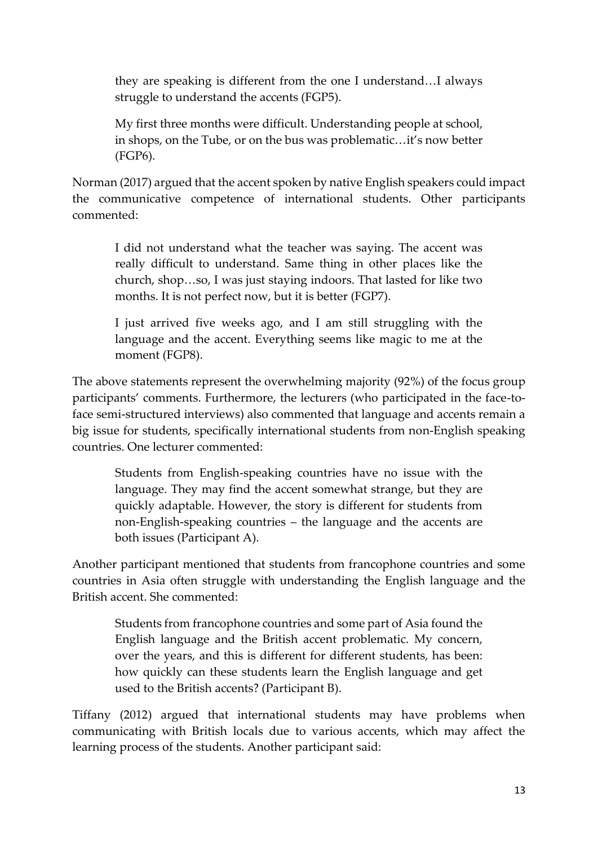they are speaking is different from the one I understand…I always struggle to understand the accents (FGP5).

My first three months were difficult. Understanding people at school, in shops, on the Tube, or on the bus was problematic…it's now better (FGP6).

Norman (2017) argued that the accent spoken by native English speakers could impact the communicative competence of international students. Other participants commented:

I did not understand what the teacher was saying. The accent was really difficult to understand. Same thing in other places like the church, shop…so, I was just staying indoors. That lasted for like two months. It is not perfect now, but it is better (FGP7).

I just arrived five weeks ago, and I am still struggling with the language and the accent. Everything seems like magic to me at the moment (FGP8).

The above statements represent the overwhelming majority (92%) of the focus group participants' comments. Furthermore, the lecturers (who participated in the face-toface semi-structured interviews) also commented that language and accents remain a big issue for students, specifically international students from non-English speaking countries. One lecturer commented:

Students from English-speaking countries have no issue with the language. They may find the accent somewhat strange, but they are quickly adaptable. However, the story is different for students from non-English-speaking countries – the language and the accents are both issues (Participant A).

Another participant mentioned that students from francophone countries and some countries in Asia often struggle with understanding the English language and the British accent. She commented:

Students from francophone countries and some part of Asia found the English language and the British accent problematic. My concern, over the years, and this is different for different students, has been: how quickly can these students learn the English language and get used to the British accents? (Participant B).

Tiffany (2012) argued that international students may have problems when communicating with British locals due to various accents, which may affect the learning process of the students. Another participant said: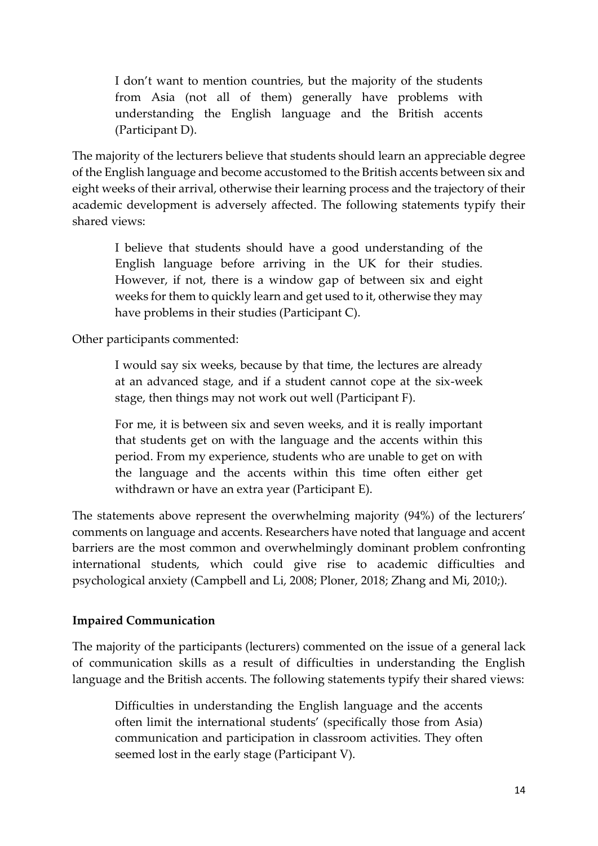I don't want to mention countries, but the majority of the students from Asia (not all of them) generally have problems with understanding the English language and the British accents (Participant D).

The majority of the lecturers believe that students should learn an appreciable degree of the English language and become accustomed to the British accents between six and eight weeks of their arrival, otherwise their learning process and the trajectory of their academic development is adversely affected. The following statements typify their shared views:

I believe that students should have a good understanding of the English language before arriving in the UK for their studies. However, if not, there is a window gap of between six and eight weeks for them to quickly learn and get used to it, otherwise they may have problems in their studies (Participant C).

Other participants commented:

I would say six weeks, because by that time, the lectures are already at an advanced stage, and if a student cannot cope at the six-week stage, then things may not work out well (Participant F).

For me, it is between six and seven weeks, and it is really important that students get on with the language and the accents within this period. From my experience, students who are unable to get on with the language and the accents within this time often either get withdrawn or have an extra year (Participant E).

The statements above represent the overwhelming majority (94%) of the lecturers' comments on language and accents. Researchers have noted that language and accent barriers are the most common and overwhelmingly dominant problem confronting international students, which could give rise to academic difficulties and psychological anxiety (Campbell and Li, 2008; Ploner, 2018; Zhang and Mi, 2010;).

#### **Impaired Communication**

The majority of the participants (lecturers) commented on the issue of a general lack of communication skills as a result of difficulties in understanding the English language and the British accents. The following statements typify their shared views:

Difficulties in understanding the English language and the accents often limit the international students' (specifically those from Asia) communication and participation in classroom activities. They often seemed lost in the early stage (Participant V).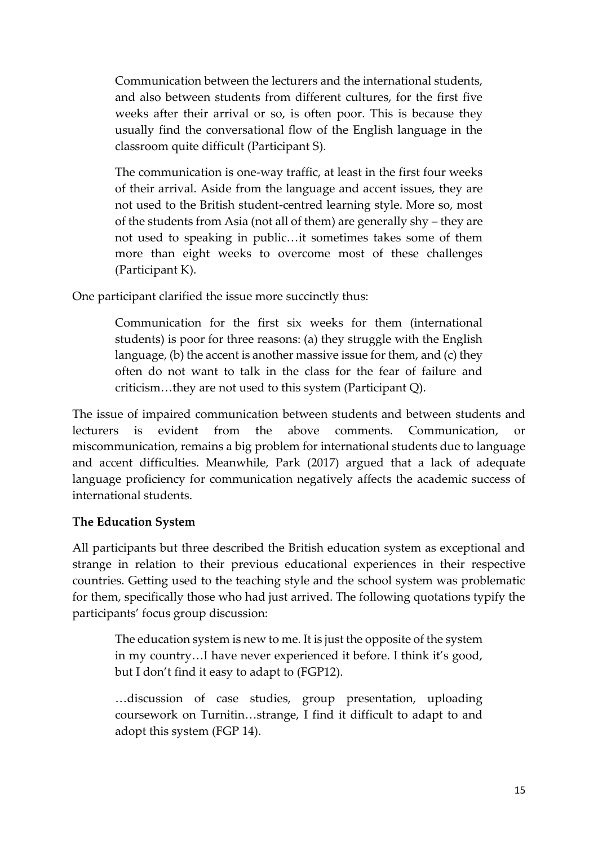Communication between the lecturers and the international students, and also between students from different cultures, for the first five weeks after their arrival or so, is often poor. This is because they usually find the conversational flow of the English language in the classroom quite difficult (Participant S).

The communication is one-way traffic, at least in the first four weeks of their arrival. Aside from the language and accent issues, they are not used to the British student-centred learning style. More so, most of the students from Asia (not all of them) are generally shy – they are not used to speaking in public…it sometimes takes some of them more than eight weeks to overcome most of these challenges (Participant K).

One participant clarified the issue more succinctly thus:

Communication for the first six weeks for them (international students) is poor for three reasons: (a) they struggle with the English language, (b) the accent is another massive issue for them, and (c) they often do not want to talk in the class for the fear of failure and criticism…they are not used to this system (Participant Q).

The issue of impaired communication between students and between students and lecturers is evident from the above comments. Communication, or miscommunication, remains a big problem for international students due to language and accent difficulties. Meanwhile, Park (2017) argued that a lack of adequate language proficiency for communication negatively affects the academic success of international students.

## **The Education System**

All participants but three described the British education system as exceptional and strange in relation to their previous educational experiences in their respective countries. Getting used to the teaching style and the school system was problematic for them, specifically those who had just arrived. The following quotations typify the participants' focus group discussion:

The education system is new to me. It is just the opposite of the system in my country…I have never experienced it before. I think it's good, but I don't find it easy to adapt to (FGP12).

…discussion of case studies, group presentation, uploading coursework on Turnitin…strange, I find it difficult to adapt to and adopt this system (FGP 14).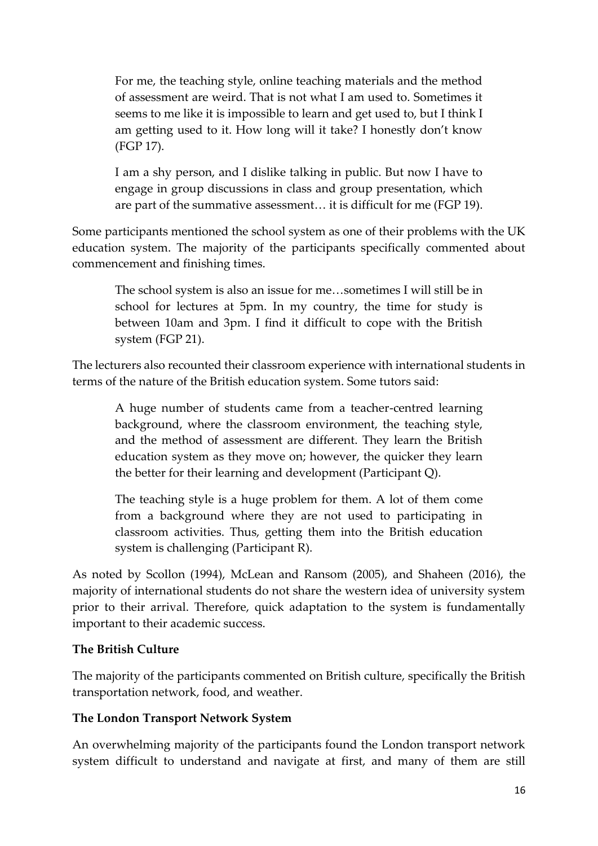For me, the teaching style, online teaching materials and the method of assessment are weird. That is not what I am used to. Sometimes it seems to me like it is impossible to learn and get used to, but I think I am getting used to it. How long will it take? I honestly don't know (FGP 17).

I am a shy person, and I dislike talking in public. But now I have to engage in group discussions in class and group presentation, which are part of the summative assessment… it is difficult for me (FGP 19).

Some participants mentioned the school system as one of their problems with the UK education system. The majority of the participants specifically commented about commencement and finishing times.

The school system is also an issue for me…sometimes I will still be in school for lectures at 5pm. In my country, the time for study is between 10am and 3pm. I find it difficult to cope with the British system (FGP 21).

The lecturers also recounted their classroom experience with international students in terms of the nature of the British education system. Some tutors said:

A huge number of students came from a teacher-centred learning background, where the classroom environment, the teaching style, and the method of assessment are different. They learn the British education system as they move on; however, the quicker they learn the better for their learning and development (Participant Q).

The teaching style is a huge problem for them. A lot of them come from a background where they are not used to participating in classroom activities. Thus, getting them into the British education system is challenging (Participant R).

As noted by Scollon (1994), McLean and Ransom (2005), and Shaheen (2016), the majority of international students do not share the western idea of university system prior to their arrival. Therefore, quick adaptation to the system is fundamentally important to their academic success.

## **The British Culture**

The majority of the participants commented on British culture, specifically the British transportation network, food, and weather.

## **The London Transport Network System**

An overwhelming majority of the participants found the London transport network system difficult to understand and navigate at first, and many of them are still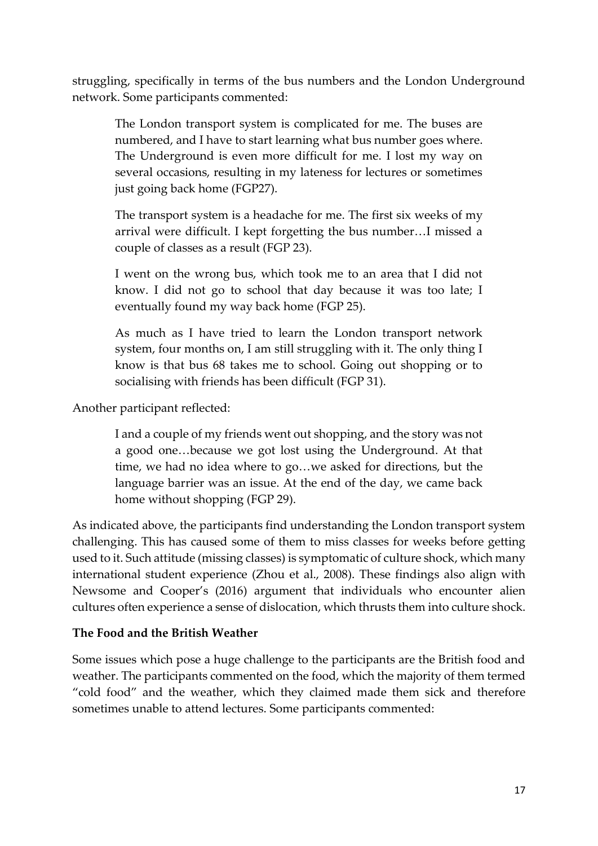struggling, specifically in terms of the bus numbers and the London Underground network. Some participants commented:

The London transport system is complicated for me. The buses are numbered, and I have to start learning what bus number goes where. The Underground is even more difficult for me. I lost my way on several occasions, resulting in my lateness for lectures or sometimes just going back home (FGP27).

The transport system is a headache for me. The first six weeks of my arrival were difficult. I kept forgetting the bus number…I missed a couple of classes as a result (FGP 23).

I went on the wrong bus, which took me to an area that I did not know. I did not go to school that day because it was too late; I eventually found my way back home (FGP 25).

As much as I have tried to learn the London transport network system, four months on, I am still struggling with it. The only thing I know is that bus 68 takes me to school. Going out shopping or to socialising with friends has been difficult (FGP 31).

Another participant reflected:

I and a couple of my friends went out shopping, and the story was not a good one…because we got lost using the Underground. At that time, we had no idea where to go…we asked for directions, but the language barrier was an issue. At the end of the day, we came back home without shopping (FGP 29).

As indicated above, the participants find understanding the London transport system challenging. This has caused some of them to miss classes for weeks before getting used to it. Such attitude (missing classes) is symptomatic of culture shock, which many international student experience (Zhou et al., 2008). These findings also align with Newsome and Cooper's (2016) argument that individuals who encounter alien cultures often experience a sense of dislocation, which thrusts them into culture shock.

## **The Food and the British Weather**

Some issues which pose a huge challenge to the participants are the British food and weather. The participants commented on the food, which the majority of them termed "cold food" and the weather, which they claimed made them sick and therefore sometimes unable to attend lectures. Some participants commented: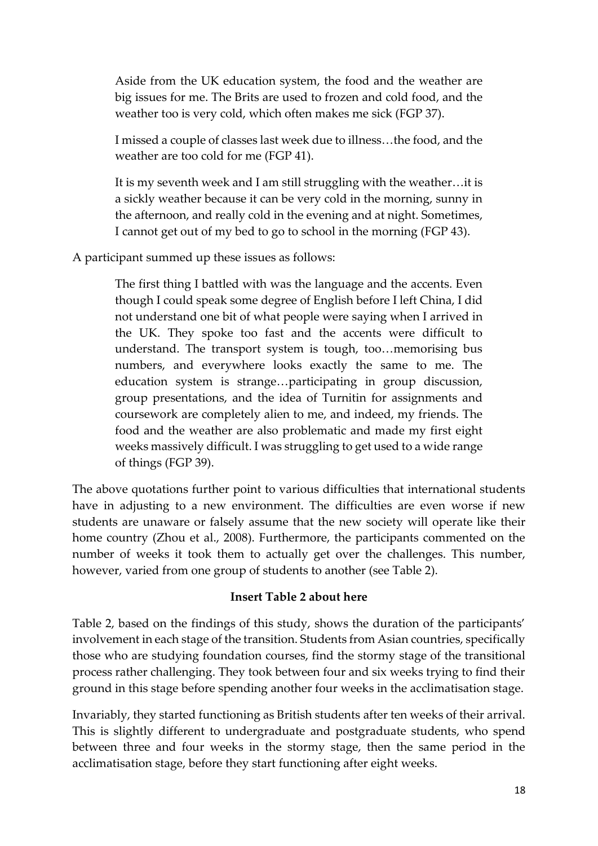Aside from the UK education system, the food and the weather are big issues for me. The Brits are used to frozen and cold food, and the weather too is very cold, which often makes me sick (FGP 37).

I missed a couple of classes last week due to illness…the food, and the weather are too cold for me (FGP 41).

It is my seventh week and I am still struggling with the weather…it is a sickly weather because it can be very cold in the morning, sunny in the afternoon, and really cold in the evening and at night. Sometimes, I cannot get out of my bed to go to school in the morning (FGP 43).

A participant summed up these issues as follows:

The first thing I battled with was the language and the accents. Even though I could speak some degree of English before I left China, I did not understand one bit of what people were saying when I arrived in the UK. They spoke too fast and the accents were difficult to understand. The transport system is tough, too…memorising bus numbers, and everywhere looks exactly the same to me. The education system is strange…participating in group discussion, group presentations, and the idea of Turnitin for assignments and coursework are completely alien to me, and indeed, my friends. The food and the weather are also problematic and made my first eight weeks massively difficult. I was struggling to get used to a wide range of things (FGP 39).

The above quotations further point to various difficulties that international students have in adjusting to a new environment. The difficulties are even worse if new students are unaware or falsely assume that the new society will operate like their home country (Zhou et al., 2008). Furthermore, the participants commented on the number of weeks it took them to actually get over the challenges. This number, however, varied from one group of students to another (see Table 2).

#### **Insert Table 2 about here**

Table 2, based on the findings of this study, shows the duration of the participants' involvement in each stage of the transition. Students from Asian countries, specifically those who are studying foundation courses, find the stormy stage of the transitional process rather challenging. They took between four and six weeks trying to find their ground in this stage before spending another four weeks in the acclimatisation stage.

Invariably, they started functioning as British students after ten weeks of their arrival. This is slightly different to undergraduate and postgraduate students, who spend between three and four weeks in the stormy stage, then the same period in the acclimatisation stage, before they start functioning after eight weeks.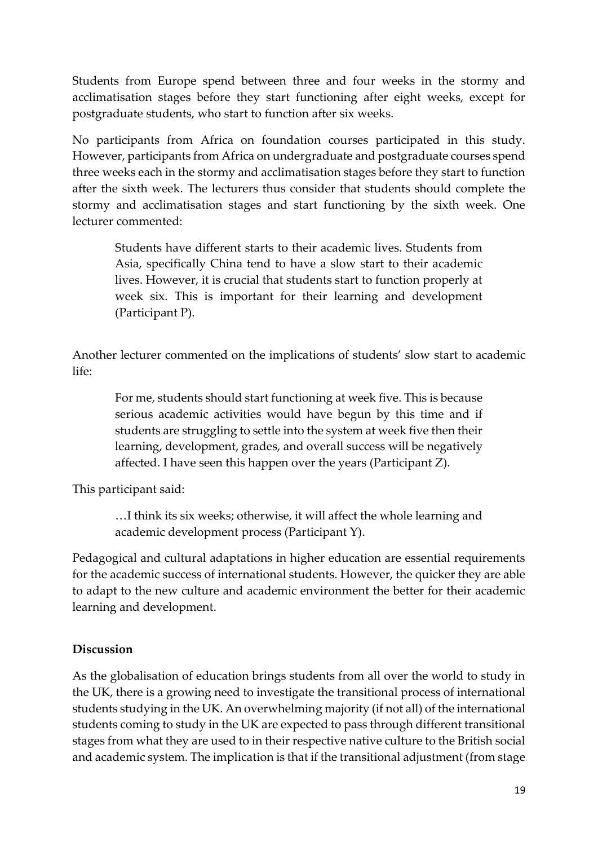Students from Europe spend between three and four weeks in the stormy and acclimatisation stages before they start functioning after eight weeks, except for postgraduate students, who start to function after six weeks.

No participants from Africa on foundation courses participated in this study. However, participants from Africa on undergraduate and postgraduate courses spend three weeks each in the stormy and acclimatisation stages before they start to function after the sixth week. The lecturers thus consider that students should complete the stormy and acclimatisation stages and start functioning by the sixth week. One lecturer commented:

Students have different starts to their academic lives. Students from Asia, specifically China tend to have a slow start to their academic lives. However, it is crucial that students start to function properly at week six. This is important for their learning and development (Participant P).

Another lecturer commented on the implications of students' slow start to academic life:

For me, students should start functioning at week five. This is because serious academic activities would have begun by this time and if students are struggling to settle into the system at week five then their learning, development, grades, and overall success will be negatively affected. I have seen this happen over the years (Participant Z).

This participant said:

…I think its six weeks; otherwise, it will affect the whole learning and academic development process (Participant Y).

Pedagogical and cultural adaptations in higher education are essential requirements for the academic success of international students. However, the quicker they are able to adapt to the new culture and academic environment the better for their academic learning and development.

## **Discussion**

As the globalisation of education brings students from all over the world to study in the UK, there is a growing need to investigate the transitional process of international students studying in the UK. An overwhelming majority (if not all) of the international students coming to study in the UK are expected to pass through different transitional stages from what they are used to in their respective native culture to the British social and academic system. The implication is that if the transitional adjustment (from stage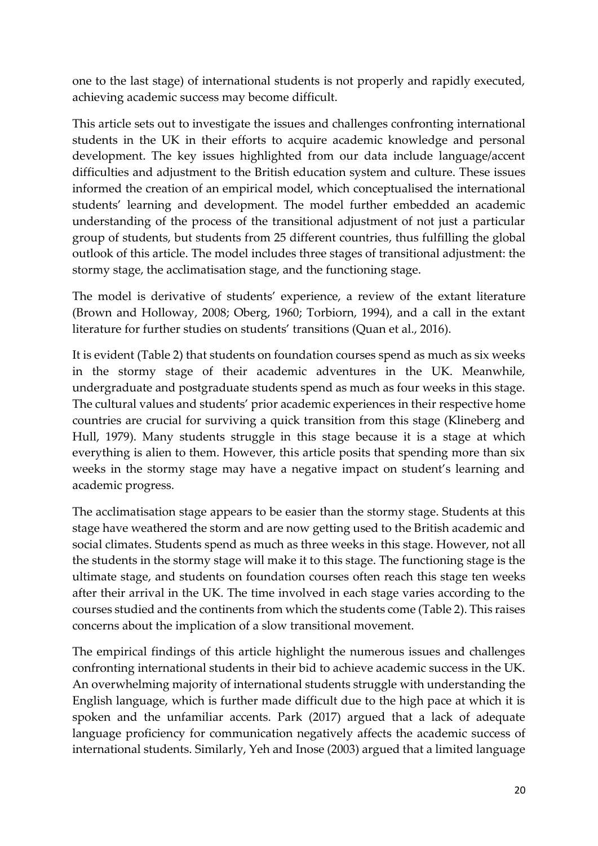one to the last stage) of international students is not properly and rapidly executed, achieving academic success may become difficult.

This article sets out to investigate the issues and challenges confronting international students in the UK in their efforts to acquire academic knowledge and personal development. The key issues highlighted from our data include language/accent difficulties and adjustment to the British education system and culture. These issues informed the creation of an empirical model, which conceptualised the international students' learning and development. The model further embedded an academic understanding of the process of the transitional adjustment of not just a particular group of students, but students from 25 different countries, thus fulfilling the global outlook of this article. The model includes three stages of transitional adjustment: the stormy stage, the acclimatisation stage, and the functioning stage.

The model is derivative of students' experience, a review of the extant literature (Brown and Holloway, 2008; Oberg, 1960; Torbiorn, 1994), and a call in the extant literature for further studies on students' transitions (Quan et al., 2016).

It is evident (Table 2) that students on foundation courses spend as much as six weeks in the stormy stage of their academic adventures in the UK. Meanwhile, undergraduate and postgraduate students spend as much as four weeks in this stage. The cultural values and students' prior academic experiences in their respective home countries are crucial for surviving a quick transition from this stage (Klineberg and Hull, 1979). Many students struggle in this stage because it is a stage at which everything is alien to them. However, this article posits that spending more than six weeks in the stormy stage may have a negative impact on student's learning and academic progress.

The acclimatisation stage appears to be easier than the stormy stage. Students at this stage have weathered the storm and are now getting used to the British academic and social climates. Students spend as much as three weeks in this stage. However, not all the students in the stormy stage will make it to this stage. The functioning stage is the ultimate stage, and students on foundation courses often reach this stage ten weeks after their arrival in the UK. The time involved in each stage varies according to the courses studied and the continents from which the students come (Table 2). This raises concerns about the implication of a slow transitional movement.

The empirical findings of this article highlight the numerous issues and challenges confronting international students in their bid to achieve academic success in the UK. An overwhelming majority of international students struggle with understanding the English language, which is further made difficult due to the high pace at which it is spoken and the unfamiliar accents. Park (2017) argued that a lack of adequate language proficiency for communication negatively affects the academic success of international students. Similarly, Yeh and Inose (2003) argued that a limited language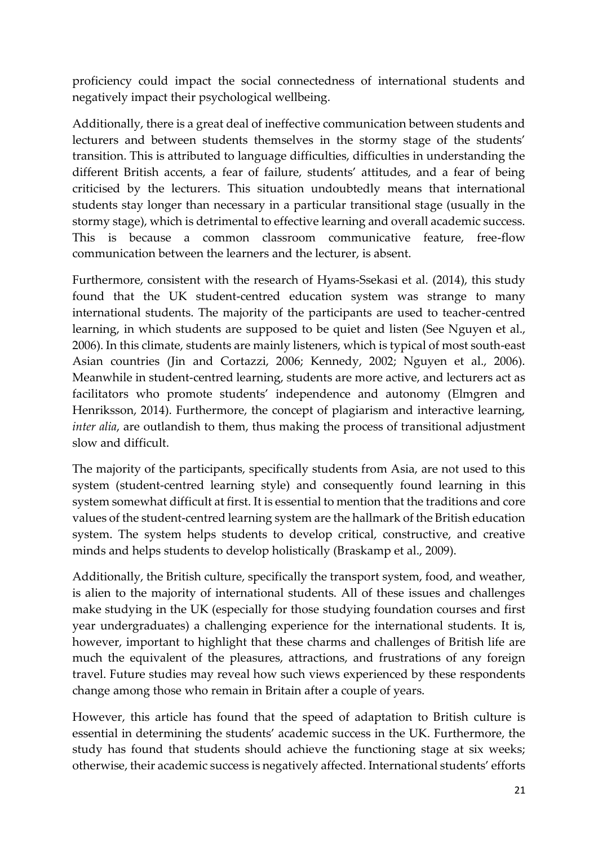proficiency could impact the social connectedness of international students and negatively impact their psychological wellbeing.

Additionally, there is a great deal of ineffective communication between students and lecturers and between students themselves in the stormy stage of the students' transition. This is attributed to language difficulties, difficulties in understanding the different British accents, a fear of failure, students' attitudes, and a fear of being criticised by the lecturers. This situation undoubtedly means that international students stay longer than necessary in a particular transitional stage (usually in the stormy stage), which is detrimental to effective learning and overall academic success. This is because a common classroom communicative feature, free-flow communication between the learners and the lecturer, is absent.

Furthermore, consistent with the research of Hyams-Ssekasi et al. (2014), this study found that the UK student-centred education system was strange to many international students. The majority of the participants are used to teacher-centred learning, in which students are supposed to be quiet and listen (See Nguyen et al., 2006). In this climate, students are mainly listeners, which is typical of most south-east Asian countries (Jin and Cortazzi, 2006; Kennedy, 2002; Nguyen et al., 2006). Meanwhile in student-centred learning, students are more active, and lecturers act as facilitators who promote students' independence and autonomy (Elmgren and Henriksson, 2014). Furthermore, the concept of plagiarism and interactive learning, *inter alia*, are outlandish to them, thus making the process of transitional adjustment slow and difficult.

The majority of the participants, specifically students from Asia, are not used to this system (student-centred learning style) and consequently found learning in this system somewhat difficult at first. It is essential to mention that the traditions and core values of the student-centred learning system are the hallmark of the British education system. The system helps students to develop critical, constructive, and creative minds and helps students to develop holistically (Braskamp et al., 2009).

Additionally, the British culture, specifically the transport system, food, and weather, is alien to the majority of international students. All of these issues and challenges make studying in the UK (especially for those studying foundation courses and first year undergraduates) a challenging experience for the international students. It is, however, important to highlight that these charms and challenges of British life are much the equivalent of the pleasures, attractions, and frustrations of any foreign travel. Future studies may reveal how such views experienced by these respondents change among those who remain in Britain after a couple of years.

However, this article has found that the speed of adaptation to British culture is essential in determining the students' academic success in the UK. Furthermore, the study has found that students should achieve the functioning stage at six weeks; otherwise, their academic success is negatively affected. International students' efforts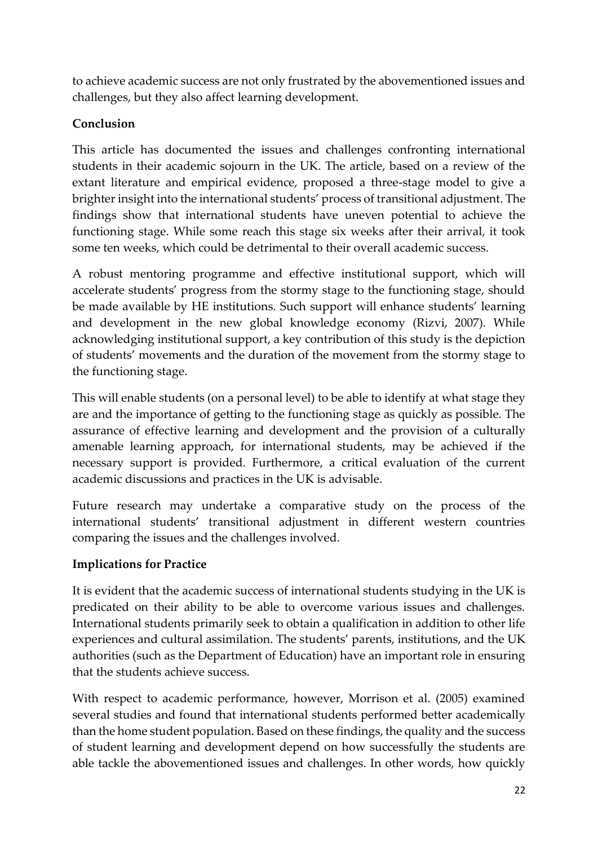to achieve academic success are not only frustrated by the abovementioned issues and challenges, but they also affect learning development.

## **Conclusion**

This article has documented the issues and challenges confronting international students in their academic sojourn in the UK. The article, based on a review of the extant literature and empirical evidence, proposed a three-stage model to give a brighter insight into the international students' process of transitional adjustment. The findings show that international students have uneven potential to achieve the functioning stage. While some reach this stage six weeks after their arrival, it took some ten weeks, which could be detrimental to their overall academic success.

A robust mentoring programme and effective institutional support, which will accelerate students' progress from the stormy stage to the functioning stage, should be made available by HE institutions. Such support will enhance students' learning and development in the new global knowledge economy (Rizvi, 2007). While acknowledging institutional support, a key contribution of this study is the depiction of students' movements and the duration of the movement from the stormy stage to the functioning stage.

This will enable students (on a personal level) to be able to identify at what stage they are and the importance of getting to the functioning stage as quickly as possible. The assurance of effective learning and development and the provision of a culturally amenable learning approach, for international students, may be achieved if the necessary support is provided. Furthermore, a critical evaluation of the current academic discussions and practices in the UK is advisable.

Future research may undertake a comparative study on the process of the international students' transitional adjustment in different western countries comparing the issues and the challenges involved.

# **Implications for Practice**

It is evident that the academic success of international students studying in the UK is predicated on their ability to be able to overcome various issues and challenges. International students primarily seek to obtain a qualification in addition to other life experiences and cultural assimilation. The students' parents, institutions, and the UK authorities (such as the Department of Education) have an important role in ensuring that the students achieve success.

With respect to academic performance, however, Morrison et al. (2005) examined several studies and found that international students performed better academically than the home student population. Based on these findings, the quality and the success of student learning and development depend on how successfully the students are able tackle the abovementioned issues and challenges. In other words, how quickly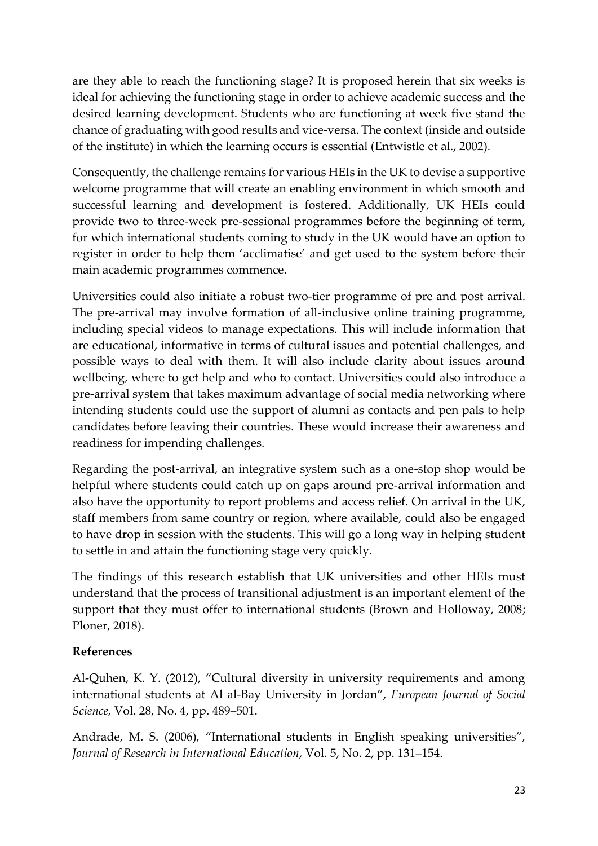are they able to reach the functioning stage? It is proposed herein that six weeks is ideal for achieving the functioning stage in order to achieve academic success and the desired learning development. Students who are functioning at week five stand the chance of graduating with good results and vice-versa. The context (inside and outside of the institute) in which the learning occurs is essential (Entwistle et al., 2002).

Consequently, the challenge remains for various HEIs in the UK to devise a supportive welcome programme that will create an enabling environment in which smooth and successful learning and development is fostered. Additionally, UK HEIs could provide two to three-week pre-sessional programmes before the beginning of term, for which international students coming to study in the UK would have an option to register in order to help them 'acclimatise' and get used to the system before their main academic programmes commence.

Universities could also initiate a robust two-tier programme of pre and post arrival. The pre-arrival may involve formation of all-inclusive online training programme, including special videos to manage expectations. This will include information that are educational, informative in terms of cultural issues and potential challenges, and possible ways to deal with them. It will also include clarity about issues around wellbeing, where to get help and who to contact. Universities could also introduce a pre-arrival system that takes maximum advantage of social media networking where intending students could use the support of alumni as contacts and pen pals to help candidates before leaving their countries. These would increase their awareness and readiness for impending challenges.

Regarding the post-arrival, an integrative system such as a one-stop shop would be helpful where students could catch up on gaps around pre-arrival information and also have the opportunity to report problems and access relief. On arrival in the UK, staff members from same country or region, where available, could also be engaged to have drop in session with the students. This will go a long way in helping student to settle in and attain the functioning stage very quickly.

The findings of this research establish that UK universities and other HEIs must understand that the process of transitional adjustment is an important element of the support that they must offer to international students (Brown and Holloway, 2008; Ploner, 2018).

## **References**

Al-Quhen, K. Y. (2012), "Cultural diversity in university requirements and among international students at Al al-Bay University in Jordan", *European Journal of Social Science,* Vol. 28, No. 4, pp. 489–501.

Andrade, M. S. (2006), "International students in English speaking universities", *Journal of Research in International Education*, Vol. 5, No. 2, pp. 131–154.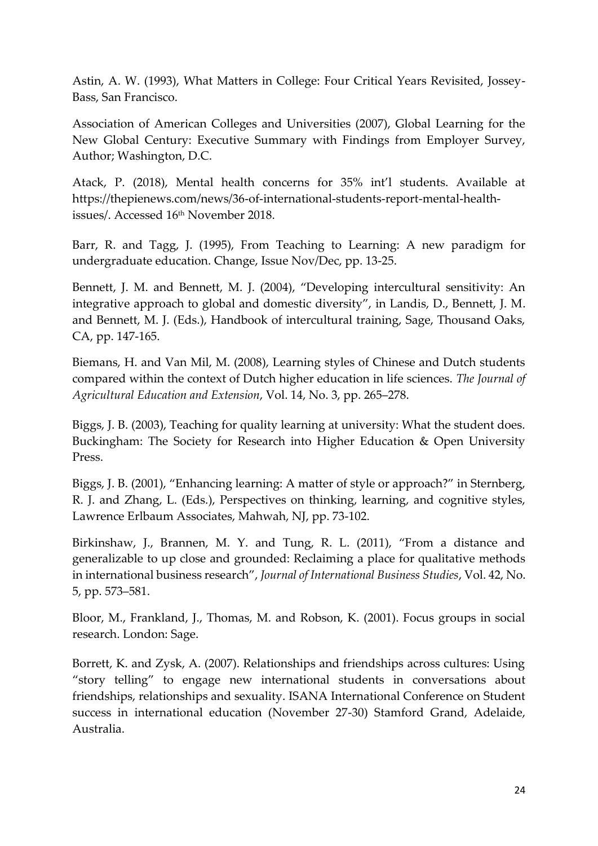Astin, A. W. (1993), What Matters in College: Four Critical Years Revisited, Jossey-Bass, San Francisco.

Association of American Colleges and Universities (2007), Global Learning for the New Global Century: Executive Summary with Findings from Employer Survey, Author; Washington, D.C.

Atack, P. (2018), Mental health concerns for 35% int'l students. Available at [https://thepienews.com/news/36-of-international-students-report-mental-health](https://thepienews.com/news/36-of-international-students-report-mental-health-issues/)[issues/.](https://thepienews.com/news/36-of-international-students-report-mental-health-issues/) Accessed 16th November 2018.

Barr, R. and Tagg, J. (1995), From Teaching to Learning: A new paradigm for undergraduate education. Change, Issue Nov/Dec, pp. 13-25.

Bennett, J. M. and Bennett, M. J. (2004), "Developing intercultural sensitivity: An integrative approach to global and domestic diversity", in Landis, D., Bennett, J. M. and Bennett, M. J. (Eds.), Handbook of intercultural training, Sage, Thousand Oaks, CA, pp. 147-165.

Biemans, H. and Van Mil, M. (2008), Learning styles of Chinese and Dutch students compared within the context of Dutch higher education in life sciences. *The Journal of Agricultural Education and Extension*, Vol. 14, No. 3, pp. 265–278.

Biggs, J. B. (2003), Teaching for quality learning at university: What the student does. Buckingham: The Society for Research into Higher Education & Open University Press.

Biggs, J. B. (2001), "Enhancing learning: A matter of style or approach?" in Sternberg, R. J. and Zhang, L. (Eds.), Perspectives on thinking, learning, and cognitive styles, Lawrence Erlbaum Associates, Mahwah, NJ, pp. 73-102.

Birkinshaw, J., Brannen, M. Y. and Tung, R. L. (2011), "From a distance and generalizable to up close and grounded: Reclaiming a place for qualitative methods in international business research", *Journal of International Business Studies*, Vol. 42, No. 5, pp. 573–581.

Bloor, M., Frankland, J., Thomas, M. and Robson, K. (2001). Focus groups in social research. London: Sage.

Borrett, K. and Zysk, A. (2007). Relationships and friendships across cultures: Using "story telling" to engage new international students in conversations about friendships, relationships and sexuality. ISANA International Conference on Student success in international education (November 27-30) Stamford Grand, Adelaide, Australia.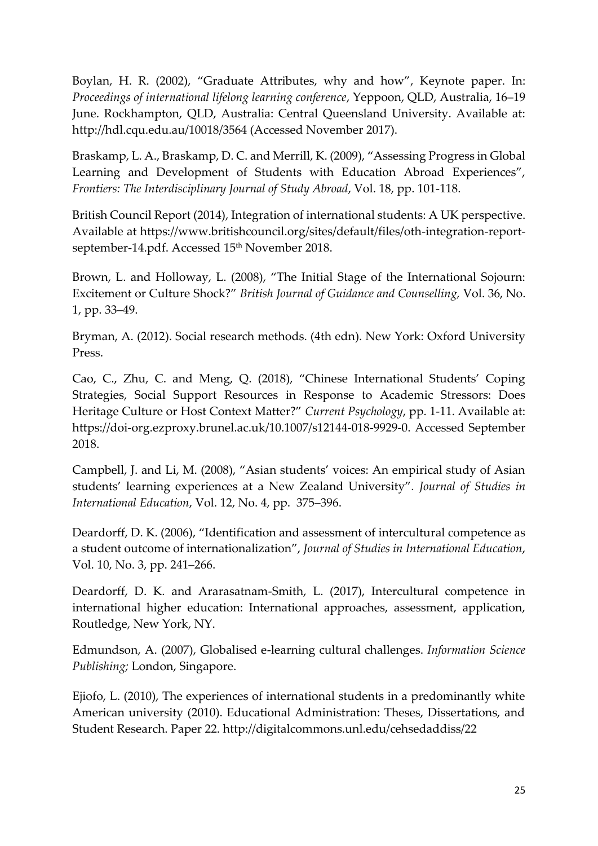Boylan, H. R. (2002), "Graduate Attributes, why and how", Keynote paper. In: *Proceedings of international lifelong learning conference*, Yeppoon, QLD, Australia, 16–19 June. Rockhampton, QLD, Australia: Central Queensland University. Available at: http://hdl.cqu.edu.au/10018/3564 (Accessed November 2017).

Braskamp, L. A., Braskamp, D. C. and Merrill, K. (2009), "Assessing Progress in Global Learning and Development of Students with Education Abroad Experiences", *Frontiers: The Interdisciplinary Journal of Study Abroad*, Vol. 18, pp. 101-118.

British Council Report (2014), Integration of international students: A UK perspective. Available at [https://www.britishcouncil.org/sites/default/files/oth-integration-report](https://www.britishcouncil.org/sites/default/files/oth-integration-report-september-14.pdf)[september-14.pdf.](https://www.britishcouncil.org/sites/default/files/oth-integration-report-september-14.pdf) Accessed 15<sup>th</sup> November 2018.

Brown, L. and Holloway, L. (2008), "The Initial Stage of the International Sojourn: Excitement or Culture Shock?" *British Journal of Guidance and Counselling,* Vol. 36, No. 1, pp. 33–49.

Bryman, A. (2012). Social research methods. (4th edn). New York: Oxford University Press.

Cao, C., Zhu, C. and Meng, Q. (2018), "Chinese International Students' Coping Strategies, Social Support Resources in Response to Academic Stressors: Does Heritage Culture or Host Context Matter?" *Current Psychology*, pp. 1-11. Available at: [https://doi-org.ezproxy.brunel.ac.uk/10.1007/s12144-018-9929-0.](https://doi-org.ezproxy.brunel.ac.uk/10.1007/s12144-018-9929-0) Accessed September 2018.

Campbell, J. and Li, M. (2008), "Asian students' voices: An empirical study of Asian students' learning experiences at a New Zealand University". *Journal of Studies in International Education*, Vol. 12, No. 4, pp. 375–396.

Deardorff, D. K. (2006), "Identification and assessment of intercultural competence as a student outcome of internationalization", *Journal of Studies in International Education*, Vol. 10, No. 3, pp. 241–266.

Deardorff, D. K. and Ararasatnam-Smith, L. (2017), Intercultural competence in international higher education: International approaches, assessment, application, Routledge, New York, NY.

Edmundson, A. (2007), Globalised e-learning cultural challenges. *Information Science Publishing;* London, Singapore.

Ejiofo, L. (2010), The experiences of international students in a predominantly white American university (2010). Educational Administration: Theses, Dissertations, and Student Research. Paper 22. http://digitalcommons.unl.edu/cehsedaddiss/22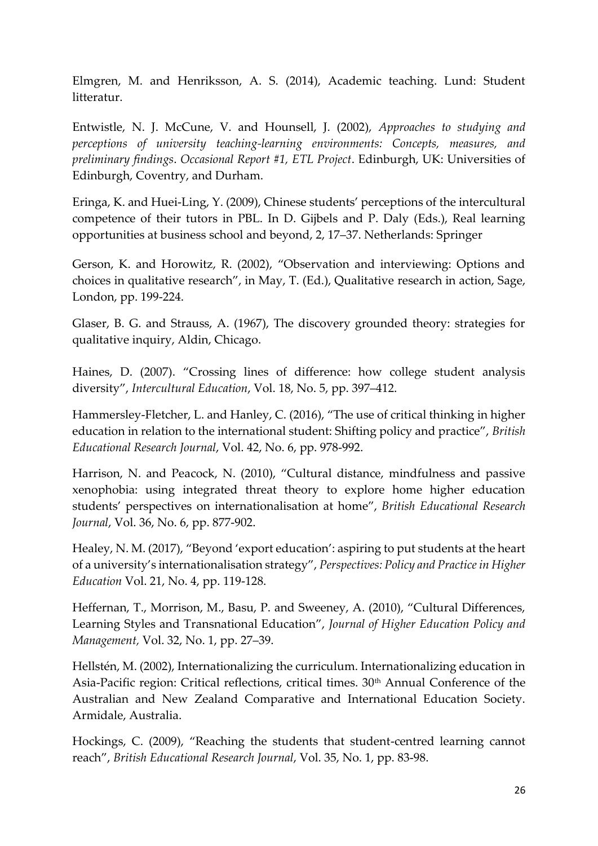Elmgren, M. and Henriksson, A. S. (2014), Academic teaching. Lund: Student litteratur.

Entwistle, N. J. McCune, V. and Hounsell, J. (2002), *Approaches to studying and perceptions of university teaching-learning environments: Concepts, measures, and preliminary findings*. *Occasional Report #1, ETL Project*. Edinburgh, UK: Universities of Edinburgh, Coventry, and Durham.

Eringa, K. and Huei-Ling, Y. (2009), Chinese students' perceptions of the intercultural competence of their tutors in PBL. In D. Gijbels and P. Daly (Eds.), Real learning opportunities at business school and beyond, 2, 17–37. Netherlands: Springer

Gerson, K. and Horowitz, R. (2002), "Observation and interviewing: Options and choices in qualitative research", in May, T. (Ed.), Qualitative research in action, Sage, London, pp. 199-224.

Glaser, B. G. and Strauss, A. (1967), The discovery grounded theory: strategies for qualitative inquiry, Aldin, Chicago.

Haines, D. (2007). "Crossing lines of difference: how college student analysis diversity", *Intercultural Education*, Vol. 18, No. 5, pp. 397–412.

Hammersley-Fletcher, L. and Hanley, C. (2016), "The use of critical thinking in higher education in relation to the international student: Shifting policy and practice", *British Educational Research Journal*, Vol. 42, No. 6, pp. 978-992.

Harrison, N. and Peacock, N. (2010), "Cultural distance, mindfulness and passive xenophobia: using integrated threat theory to explore home higher education students' perspectives on internationalisation at home", *British Educational Research Journal*, Vol. 36, No. 6, pp. 877-902.

Healey, N. M. (2017), "Beyond 'export education': aspiring to put students at the heart of a university's internationalisation strategy", *Perspectives: Policy and Practice in Higher Education* Vol. 21, No. 4, pp. 119-128.

Heffernan, T., Morrison, M., Basu, P. and Sweeney, A. (2010), "Cultural Differences, Learning Styles and Transnational Education", *Journal of Higher Education Policy and Management,* Vol. 32, No. 1, pp. 27–39.

Hellstén, M. (2002), Internationalizing the curriculum. Internationalizing education in Asia-Pacific region: Critical reflections, critical times. 30<sup>th</sup> Annual Conference of the Australian and New Zealand Comparative and International Education Society. Armidale, Australia.

Hockings, C. (2009), "Reaching the students that student-centred learning cannot reach", *British Educational Research Journal*, Vol. 35, No. 1, pp. 83-98.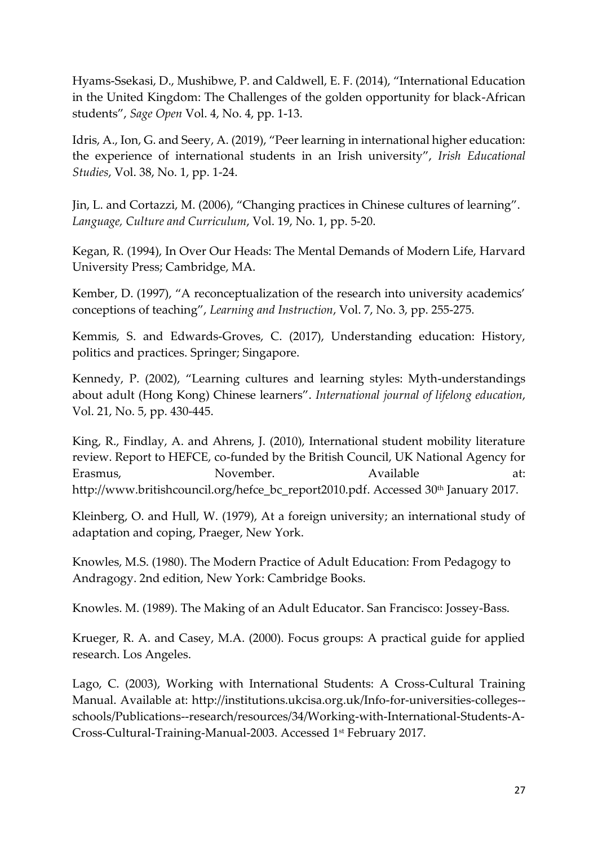Hyams-Ssekasi, D., Mushibwe, P. and Caldwell, E. F. (2014), "International Education in the United Kingdom: The Challenges of the golden opportunity for black-African students", *Sage Open* Vol. 4, No. 4, pp. 1-13.

Idris, A., Ion, G. and Seery, A. (2019), "Peer learning in international higher education: the experience of international students in an Irish university", *Irish Educational Studies*, Vol. 38, No. 1, pp. 1-24.

Jin, L. and Cortazzi, M. (2006), "Changing practices in Chinese cultures of learning". *Language, Culture and Curriculum*, Vol. 19, No. 1, pp. 5-20.

Kegan, R. (1994), In Over Our Heads: The Mental Demands of Modern Life, Harvard University Press; Cambridge, MA.

Kember, D. (1997), "A reconceptualization of the research into university academics' conceptions of teaching", *Learning and Instruction*, Vol. 7, No. 3, pp. 255-275.

Kemmis, S. and Edwards-Groves, C. (2017), Understanding education: History, politics and practices. Springer; Singapore.

Kennedy, P. (2002), "Learning cultures and learning styles: Myth-understandings about adult (Hong Kong) Chinese learners". *International journal of lifelong education*, Vol. 21, No. 5, pp. 430-445.

King, R., Findlay, A. and Ahrens, J. (2010), International student mobility literature review. Report to HEFCE, co-funded by the British Council, UK National Agency for Erasmus, November. Available at: [http://www.britishcouncil.org/hefce\\_bc\\_report2010.pdf.](http://www.britishcouncil.org/hefce_bc_report2010.pdf) Accessed 30<sup>th</sup> January 2017.

Kleinberg, O. and Hull, W. (1979), At a foreign university; an international study of adaptation and coping, Praeger, New York.

Knowles, M.S. (1980). The Modern Practice of Adult Education: From Pedagogy to Andragogy. 2nd edition, New York: Cambridge Books.

Knowles. M. (1989). The Making of an Adult Educator. San Francisco: Jossey-Bass.

Krueger, R. A. and Casey, M.A. (2000). Focus groups: A practical guide for applied research. Los Angeles.

Lago, C. (2003), Working with International Students: A Cross-Cultural Training Manual. Available at: [http://institutions.ukcisa.org.uk/Info-for-universities-colleges-](http://institutions.ukcisa.org.uk/Info-for-universities-colleges--schools/Publications--research/resources/34/Working-with-International-Students-A-Cross-Cultural-Training-Manual-2003) [schools/Publications--research/resources/34/Working-with-International-Students-A-](http://institutions.ukcisa.org.uk/Info-for-universities-colleges--schools/Publications--research/resources/34/Working-with-International-Students-A-Cross-Cultural-Training-Manual-2003)[Cross-Cultural-Training-Manual-2003.](http://institutions.ukcisa.org.uk/Info-for-universities-colleges--schools/Publications--research/resources/34/Working-with-International-Students-A-Cross-Cultural-Training-Manual-2003) Accessed 1st February 2017.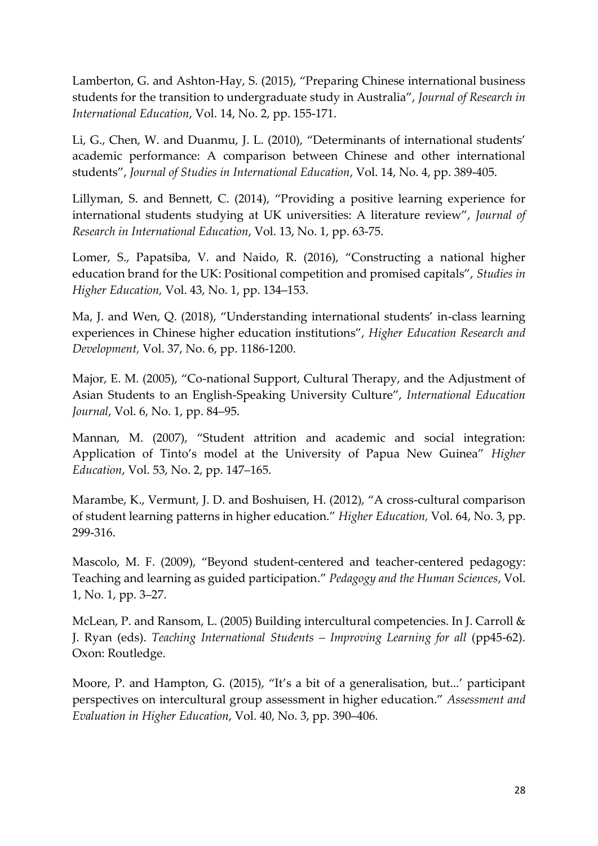Lamberton, G. and Ashton-Hay, S. (2015), "Preparing Chinese international business students for the transition to undergraduate study in Australia", *Journal of Research in International Education*, Vol. 14, No. 2, pp. 155-171.

Li, G., Chen, W. and Duanmu, J. L. (2010), "Determinants of international students' academic performance: A comparison between Chinese and other international students", *Journal of Studies in International Education*, Vol. 14, No. 4, pp. 389-405.

Lillyman, S. and Bennett, C. (2014), "Providing a positive learning experience for international students studying at UK universities: A literature review", *Journal of Research in International Education*, Vol. 13, No. 1, pp. 63-75.

Lomer, S., Papatsiba, V. and Naido, R. (2016), "Constructing a national higher education brand for the UK: Positional competition and promised capitals", *Studies in Higher Education,* Vol. 43, No. 1, pp. 134–153.

Ma, J. and Wen, Q. (2018), "Understanding international students' in-class learning experiences in Chinese higher education institutions", *Higher Education Research and Development,* Vol. 37, No. 6, pp. 1186-1200.

Major, E. M. (2005), "Co-national Support, Cultural Therapy, and the Adjustment of Asian Students to an English-Speaking University Culture", *International Education Journal*, Vol. 6, No. 1, pp. 84–95.

Mannan, M. (2007), "Student attrition and academic and social integration: Application of Tinto's model at the University of Papua New Guinea" *Higher Education*, Vol. 53, No. 2, pp. 147–165.

Marambe, K., Vermunt, J. D. and Boshuisen, H. (2012), "A cross-cultural comparison of student learning patterns in higher education." *Higher Education,* Vol. 64, No. 3, pp. 299-316.

Mascolo, M. F. (2009), "Beyond student-centered and teacher-centered pedagogy: Teaching and learning as guided participation." *Pedagogy and the Human Sciences*, Vol. 1, No. 1, pp. 3–27.

McLean, P. and Ransom, L. (2005) Building intercultural competencies. In J. Carroll & J. Ryan (eds). *Teaching International Students – Improving Learning for all* (pp45-62). Oxon: Routledge.

Moore, P. and Hampton, G. (2015), "It's a bit of a generalisation, but...' participant perspectives on intercultural group assessment in higher education." *Assessment and Evaluation in Higher Education*, Vol. 40, No. 3, pp. 390–406.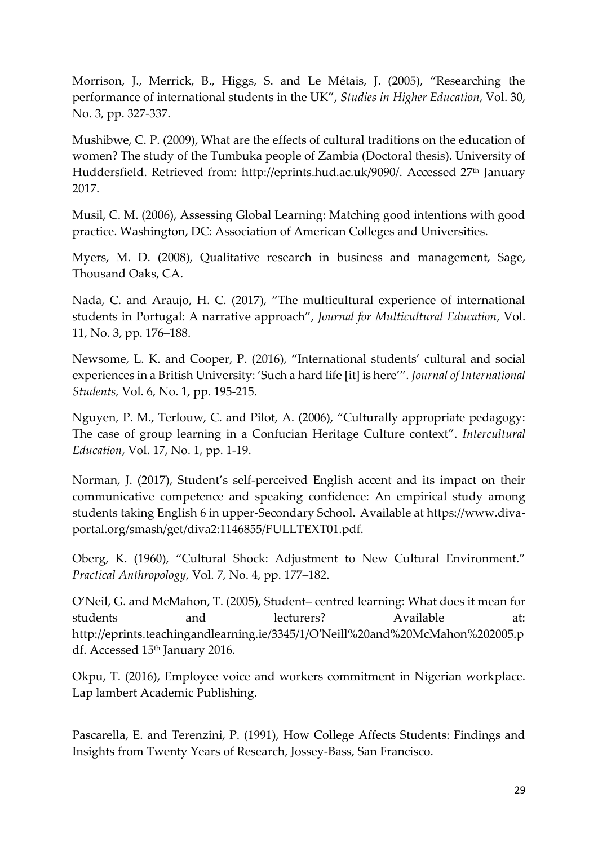Morrison, J., Merrick, B., Higgs, S. and Le Métais, J. (2005), "Researching the performance of international students in the UK", *Studies in Higher Education*, Vol. 30, No. 3, pp. 327-337.

Mushibwe, C. P. (2009), What are the effects of cultural traditions on the education of women? The study of the Tumbuka people of Zambia (Doctoral thesis). University of Huddersfield. Retrieved from: [http://eprints.hud.ac.uk/9090/.](http://eprints.hud.ac.uk/9090/) Accessed 27<sup>th</sup> January 2017.

Musil, C. M. (2006), Assessing Global Learning: Matching good intentions with good practice. Washington, DC: Association of American Colleges and Universities.

Myers, M. D. (2008), Qualitative research in business and management, Sage, Thousand Oaks, CA.

Nada, C. and Araujo, H. C. (2017), "The multicultural experience of international students in Portugal: A narrative approach", *Journal for Multicultural Education*, Vol. 11, No. 3, pp. 176–188.

Newsome, L. K. and Cooper, P. (2016), "International students' cultural and social experiences in a British University: 'Such a hard life [it] is here'". *Journal of International Students,* Vol. 6, No. 1, pp. 195-215.

Nguyen, P. M., Terlouw, C. and Pilot, A. (2006), "Culturally appropriate pedagogy: The case of group learning in a Confucian Heritage Culture context". *Intercultural Education*, Vol. 17, No. 1, pp. 1-19.

Norman, J. (2017), Student's self-perceived English accent and its impact on their communicative competence and speaking confidence: An empirical study among students taking English 6 in upper-Secondary School. Available at https://www.divaportal.org/smash/get/diva2:1146855/FULLTEXT01.pdf.

Oberg, K. (1960), "Cultural Shock: Adjustment to New Cultural Environment." *Practical Anthropology*, Vol. 7, No. 4, pp. 177–182.

O'Neil, G. and McMahon, T. (2005), Student– centred learning: What does it mean for students and lecturers? Available at: [http://eprints.teachingandlearning.ie/3345/1/O'Neill%20and%20McMahon%202005.p](http://eprints.teachingandlearning.ie/3345/1/O) [df.](http://eprints.teachingandlearning.ie/3345/1/O) Accessed 15<sup>th</sup> January 2016.

Okpu, T. (2016), Employee voice and workers commitment in Nigerian workplace. Lap lambert Academic Publishing.

Pascarella, E. and Terenzini, P. (1991), How College Affects Students: Findings and Insights from Twenty Years of Research, Jossey-Bass, San Francisco.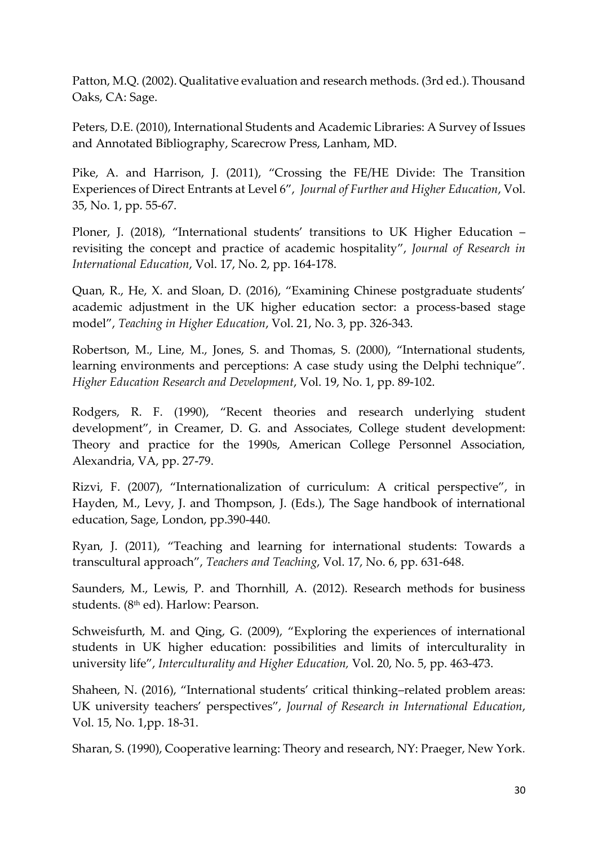Patton, M.Q. (2002). Qualitative evaluation and research methods. (3rd ed.). Thousand Oaks, CA: Sage.

Peters, D.E. (2010), International Students and Academic Libraries: A Survey of Issues and Annotated Bibliography, Scarecrow Press, Lanham, MD.

Pike, A. and Harrison, J. (2011), "Crossing the FE/HE Divide: The Transition Experiences of Direct Entrants at Level 6", *Journal of Further and Higher Education*, Vol. 35, No. 1, pp. 55-67.

Ploner, J. (2018), "International students' transitions to UK Higher Education – revisiting the concept and practice of academic hospitality", *Journal of Research in International Education*, Vol. 17, No. 2, pp. 164-178.

Quan, R., He, X. and Sloan, D. (2016), "Examining Chinese postgraduate students' academic adjustment in the UK higher education sector: a process-based stage model", *Teaching in Higher Education*, Vol. 21, No. 3, pp. 326-343.

Robertson, M., Line, M., Jones, S. and Thomas, S. (2000), "International students, learning environments and perceptions: A case study using the Delphi technique". *Higher Education Research and Development*, Vol. 19, No. 1, pp. 89-102.

Rodgers, R. F. (1990), "Recent theories and research underlying student development", in Creamer, D. G. and Associates, College student development: Theory and practice for the 1990s, American College Personnel Association, Alexandria, VA, pp. 27-79.

Rizvi, F. (2007), "Internationalization of curriculum: A critical perspective", in Hayden, M., Levy, J. and Thompson, J. (Eds.), The Sage handbook of international education, Sage, London, pp.390-440.

Ryan, J. (2011), "Teaching and learning for international students: Towards a transcultural approach", *Teachers and Teaching*, Vol. 17, No. 6, pp. 631-648.

Saunders, M., Lewis, P. and Thornhill, A. (2012). Research methods for business students. (8<sup>th</sup> ed). Harlow: Pearson.

Schweisfurth, M. and Qing, G. (2009), "Exploring the experiences of international students in UK higher education: possibilities and limits of interculturality in university life", *Interculturality and Higher Education,* Vol. 20, No. 5, pp. 463-473.

Shaheen, N. (2016), "International students' critical thinking–related problem areas: UK university teachers' perspectives", *Journal of Research in International Education*, Vol. 15, No. 1,pp. 18-31.

Sharan, S. (1990), Cooperative learning: Theory and research, NY: Praeger, New York*.*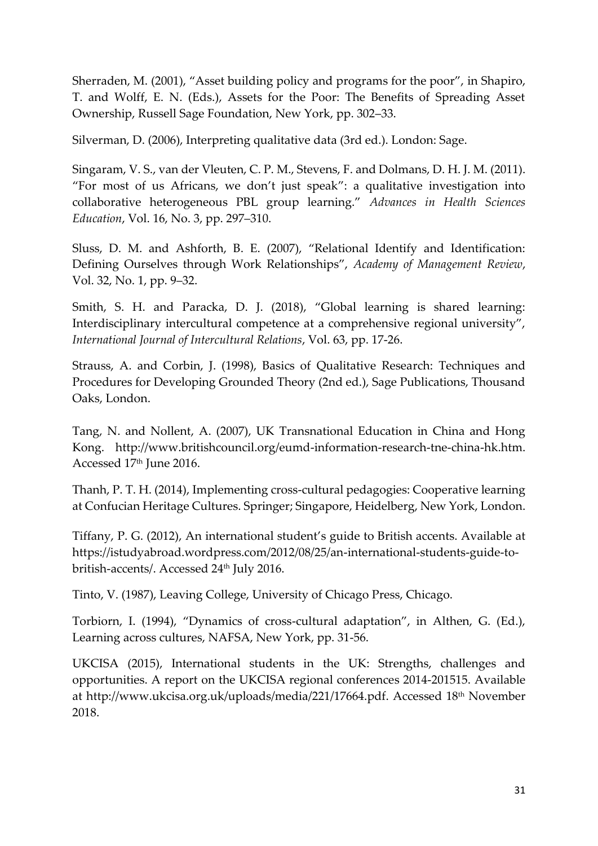Sherraden, M. (2001), "Asset building policy and programs for the poor", in Shapiro, T. and Wolff, E. N. (Eds.), Assets for the Poor: The Benefits of Spreading Asset Ownership, Russell Sage Foundation, New York, pp. 302–33.

Silverman, D. (2006), Interpreting qualitative data (3rd ed.). London: Sage.

Singaram, V. S., van der Vleuten, C. P. M., Stevens, F. and Dolmans, D. H. J. M. (2011). "For most of us Africans, we don't just speak": a qualitative investigation into collaborative heterogeneous PBL group learning." *Advances in Health Sciences Education*, Vol. 16, No. 3, pp. 297–310.

Sluss, D. M. and Ashforth, B. E. (2007), "Relational Identify and Identification: Defining Ourselves through Work Relationships", *Academy of Management Review*, Vol. 32, No. 1, pp. 9–32.

Smith, S. H. and Paracka, D. J. (2018), "Global learning is shared learning: Interdisciplinary intercultural competence at a comprehensive regional university", *International Journal of Intercultural Relations*, Vol. 63, pp. 17-26.

Strauss, A. and Corbin, J. (1998), Basics of Qualitative Research: Techniques and Procedures for Developing Grounded Theory (2nd ed.), Sage Publications, Thousand Oaks, London.

Tang, N. and Nollent, A. (2007), UK Transnational Education in China and Hong Kong. [http://www.britishcouncil.org/eumd-information-research-tne-china-hk.htm.](http://www.britishcouncil.org/eumd-information-research-tne-china-hk.htm) Accessed 17<sup>th</sup> June 2016.

Thanh, P. T. H. (2014), Implementing cross-cultural pedagogies: Cooperative learning at Confucian Heritage Cultures. Springer; Singapore, Heidelberg, New York, London.

Tiffany, P. G. (2012), An international student's guide to British accents. Available at [https://istudyabroad.wordpress.com/2012/08/25/an-international-students-guide-to](https://istudyabroad.wordpress.com/2012/08/25/an-international-students-guide-to-british-accents/)[british-accents/.](https://istudyabroad.wordpress.com/2012/08/25/an-international-students-guide-to-british-accents/) Accessed 24<sup>th</sup> July 2016.

Tinto, V. (1987), Leaving College, University of Chicago Press, Chicago.

Torbiorn, I. (1994), "Dynamics of cross-cultural adaptation", in Althen, G. (Ed.), Learning across cultures, NAFSA, New York, pp. 31-56.

UKCISA (2015), International students in the UK: Strengths, challenges and opportunities. A report on the UKCISA regional conferences 2014-201515. Available at [http://www.ukcisa.org.uk/uploads/media/221/17664.pdf.](http://www.ukcisa.org.uk/uploads/media/221/17664.pdf) Accessed 18<sup>th</sup> November 2018.